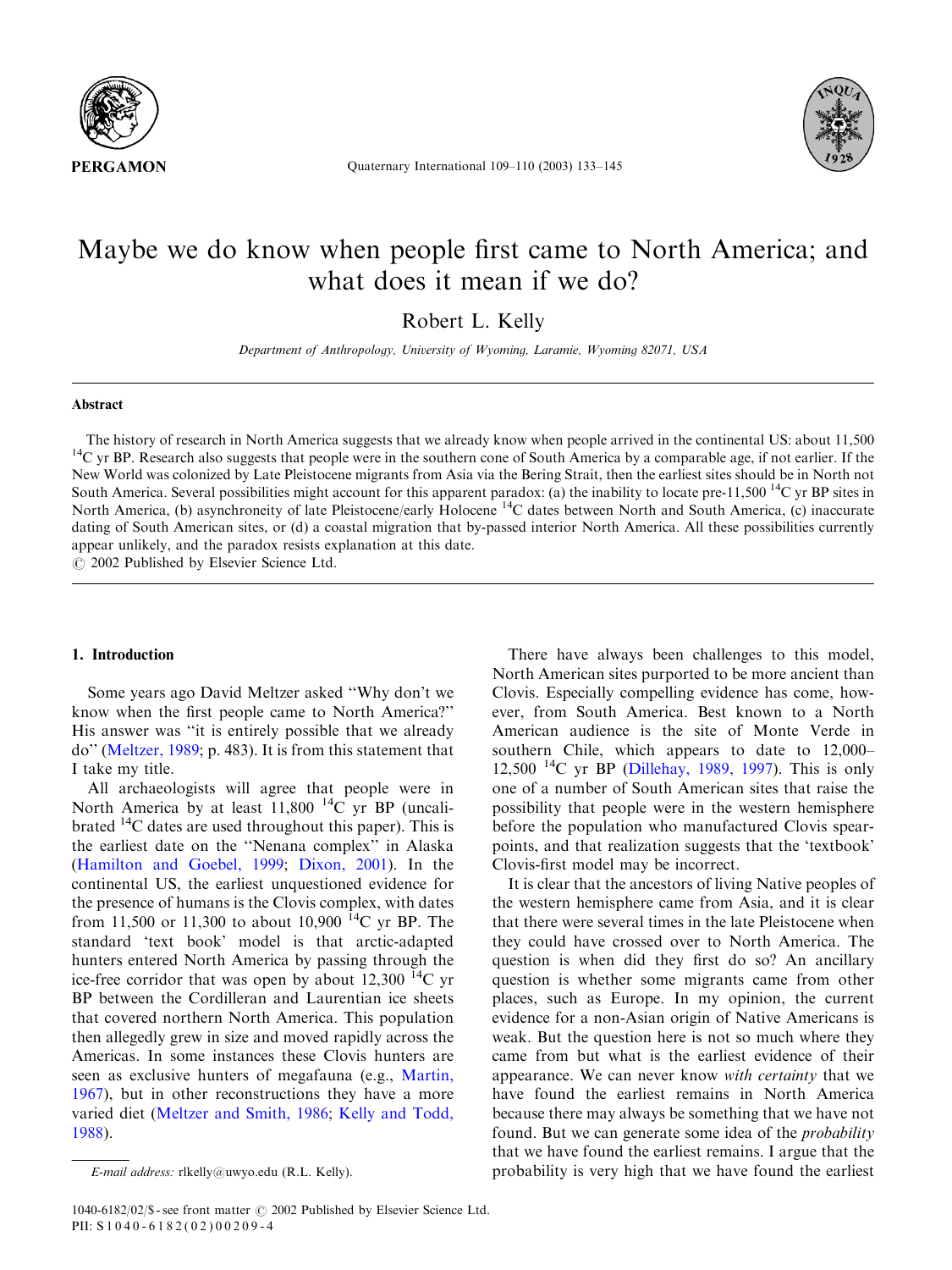

Quaternary International 109–110 (2003) 133–145



# Maybe we do know when people first came to North America; and what does it mean if we do?

Robert L. Kelly

Department of Anthropology, University of Wyoming, Laramie, Wyoming 82071, USA

# Abstract

The history of research in North America suggests that we already know when people arrived in the continental US: about 11,500<br><sup>14</sup>C yr BP. Research also suggests that people were in the southern cone of South America by a New World was colonized by Late Pleistocene migrants from Asia via the Bering Strait, then the earliest sites should be in North not South America. Several possibilities might account for this apparent paradox: (a) the inability to locate pre-11,500<sup>14</sup>C yr BP sites in North America, (b) asynchroneity of late Pleistocene/early Holocene <sup>14</sup>C dates between North and South America, (c) inaccurate dating of South American sites, or (d) a coastal migration that by-passed interior North America. All these possibilities currently appear unlikely, and the paradox resists explanation at this date.

 $\odot$  2002 Published by Elsevier Science Ltd.

# 1. Introduction

Some years ago David Meltzer asked ''Why don't we know when the first people came to North America?'' His answer was ''it is entirely possible that we already do'' ([Meltzer, 1989;](#page-11-0) p. 483). It is from this statement that I take my title.

All archaeologists will agree that people were in North America by at least  $11,800$  <sup>14</sup>C yr BP (uncalibrated  $^{14}$ C dates are used throughout this paper). This is the earliest date on the ''Nenana complex'' in Alaska [\(Hamilton and Goebel, 1999;](#page-10-0) [Dixon, 2001\)](#page-9-0). In the continental US, the earliest unquestioned evidence for the presence of humans is the Clovis complex, with dates from 11,500 or 11,300 to about 10,900 <sup>14</sup>C yr BP. The standard 'text book' model is that arctic-adapted hunters entered North America by passing through the ice-free corridor that was open by about  $12,300$  <sup>14</sup>C yr BP between the Cordilleran and Laurentian ice sheets that covered northern North America. This population then allegedly grew in size and moved rapidly across the Americas. In some instances these Clovis hunters are seen as exclusive hunters of megafauna (e.g., [Martin,](#page-10-0) [1967\)](#page-10-0), but in other reconstructions they have a more varied diet ([Meltzer and Smith, 1986](#page-11-0); [Kelly and Todd,](#page-10-0) [1988\)](#page-10-0).

E-mail address: rlkelly@uwyo.edu (R.L. Kelly).

There have always been challenges to this model, North American sites purported to be more ancient than Clovis. Especially compelling evidence has come, however, from South America. Best known to a North American audience is the site of Monte Verde in southern Chile, which appears to date to 12,000– 12,500  $^{14}$ C yr BP ([Dillehay, 1989, 1997](#page-9-0)). This is only one of a number of South American sites that raise the possibility that people were in the western hemisphere before the population who manufactured Clovis spearpoints, and that realization suggests that the 'textbook' Clovis-first model may be incorrect.

It is clear that the ancestors of living Native peoples of the western hemisphere came from Asia, and it is clear that there were several times in the late Pleistocene when they could have crossed over to North America. The question is when did they first do so? An ancillary question is whether some migrants came from other places, such as Europe. In my opinion, the current evidence for a non-Asian origin of Native Americans is weak. But the question here is not so much where they came from but what is the earliest evidence of their appearance. We can never know with certainty that we have found the earliest remains in North America because there may always be something that we have not found. But we can generate some idea of the *probability* that we have found the earliest remains. I argue that the probability is very high that we have found the earliest

<sup>1040-6182/02/\$ -</sup> see front matter  $\odot$  2002 Published by Elsevier Science Ltd. PII: S 1040-6182(02)00209-4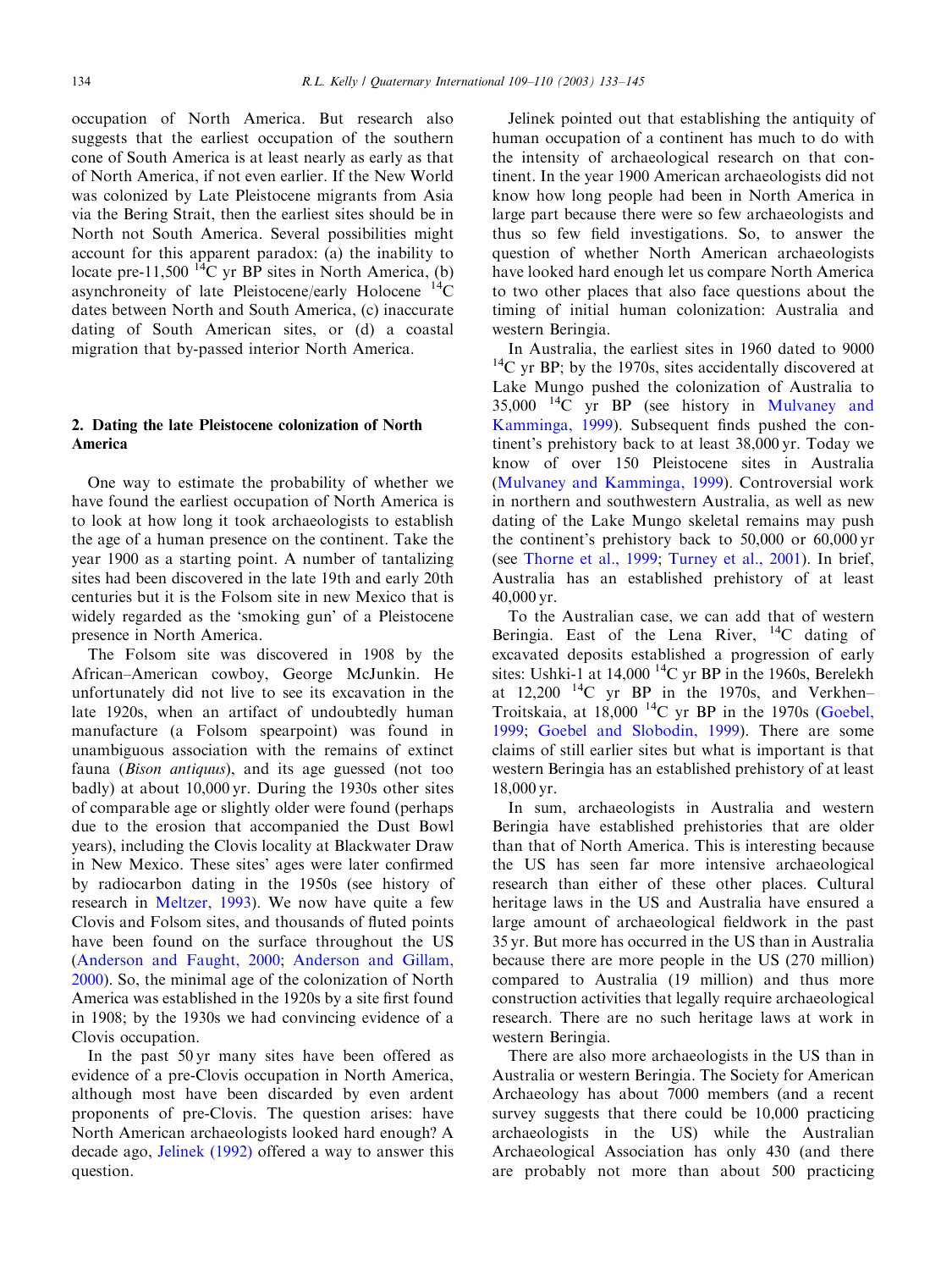occupation of North America. But research also suggests that the earliest occupation of the southern cone of South America is at least nearly as early as that of North America, if not even earlier. If the New World was colonized by Late Pleistocene migrants from Asia via the Bering Strait, then the earliest sites should be in North not South America. Several possibilities might account for this apparent paradox: (a) the inability to locate pre-11,500  $^{14}$ C yr BP sites in North America, (b) asynchroneity of late Pleistocene/early Holocene  ${}^{14}C$ dates between North and South America, (c) inaccurate dating of South American sites, or (d) a coastal migration that by-passed interior North America.

# 2. Dating the late Pleistocene colonization of North America

One way to estimate the probability of whether we have found the earliest occupation of North America is to look at how long it took archaeologists to establish the age of a human presence on the continent. Take the year 1900 as a starting point. A number of tantalizing sites had been discovered in the late 19th and early 20th centuries but it is the Folsom site in new Mexico that is widely regarded as the 'smoking gun' of a Pleistocene presence in North America.

The Folsom site was discovered in 1908 by the African–American cowboy, George McJunkin. He unfortunately did not live to see its excavation in the late 1920s, when an artifact of undoubtedly human manufacture (a Folsom spearpoint) was found in unambiguous association with the remains of extinct fauna (Bison antiquus), and its age guessed (not too badly) at about 10,000 yr. During the 1930s other sites of comparable age or slightly older were found (perhaps due to the erosion that accompanied the Dust Bowl years), including the Clovis locality at Blackwater Draw in New Mexico. These sites' ages were later confirmed by radiocarbon dating in the 1950s (see history of research in [Meltzer, 1993](#page-11-0)). We now have quite a few Clovis and Folsom sites, and thousands of fluted points have been found on the surface throughout the US [\(Anderson and Faught, 2000](#page-9-0); [Anderson and Gillam,](#page-9-0) [2000\)](#page-9-0). So, the minimal age of the colonization of North America was established in the 1920s by a site first found in 1908; by the 1930s we had convincing evidence of a Clovis occupation.

In the past 50 yr many sites have been offered as evidence of a pre-Clovis occupation in North America, although most have been discarded by even ardent proponents of pre-Clovis. The question arises: have North American archaeologists looked hard enough? A decade ago, [Jelinek \(1992\)](#page-10-0) offered a way to answer this question.

Jelinek pointed out that establishing the antiquity of human occupation of a continent has much to do with the intensity of archaeological research on that continent. In the year 1900 American archaeologists did not know how long people had been in North America in large part because there were so few archaeologists and thus so few field investigations. So, to answer the question of whether North American archaeologists have looked hard enough let us compare North America to two other places that also face questions about the timing of initial human colonization: Australia and western Beringia.

In Australia, the earliest sites in 1960 dated to 9000  $14^{\circ}$ C yr BP; by the 1970s, sites accidentally discovered at Lake Mungo pushed the colonization of Australia to  $35,000$  <sup>14</sup>C yr BP (see history in [Mulvaney and](#page-11-0) [Kamminga, 1999\)](#page-11-0). Subsequent finds pushed the continent's prehistory back to at least 38,000 yr. Today we know of over 150 Pleistocene sites in Australia [\(Mulvaney and Kamminga, 1999\)](#page-11-0). Controversial work in northern and southwestern Australia, as well as new dating of the Lake Mungo skeletal remains may push the continent's prehistory back to 50,000 or 60,000 yr (see [Thorne et al., 1999](#page-11-0); [Turney et al., 2001](#page-12-0)). In brief, Australia has an established prehistory of at least 40,000 yr.

To the Australian case, we can add that of western Beringia. East of the Lena River,  $^{14}$ C dating of excavated deposits established a progression of early sites: Ushki-1 at  $14,000^{14}$ C yr BP in the 1960s, Berelekh at  $12,200$   $^{14}$ C yr BP in the 1970s, and Verkhen– Troitskaia, at  $18,000$  <sup>14</sup>C yr BP in the 1970s ([Goebel,](#page-10-0) [1999;](#page-10-0) [Goebel and Slobodin, 1999\)](#page-10-0). There are some claims of still earlier sites but what is important is that western Beringia has an established prehistory of at least 18,000 yr.

In sum, archaeologists in Australia and western Beringia have established prehistories that are older than that of North America. This is interesting because the US has seen far more intensive archaeological research than either of these other places. Cultural heritage laws in the US and Australia have ensured a large amount of archaeological fieldwork in the past 35 yr. But more has occurred in the US than in Australia because there are more people in the US (270 million) compared to Australia (19 million) and thus more construction activities that legally require archaeological research. There are no such heritage laws at work in western Beringia.

There are also more archaeologists in the US than in Australia or western Beringia. The Society for American Archaeology has about 7000 members (and a recent survey suggests that there could be 10,000 practicing archaeologists in the US) while the Australian Archaeological Association has only 430 (and there are probably not more than about 500 practicing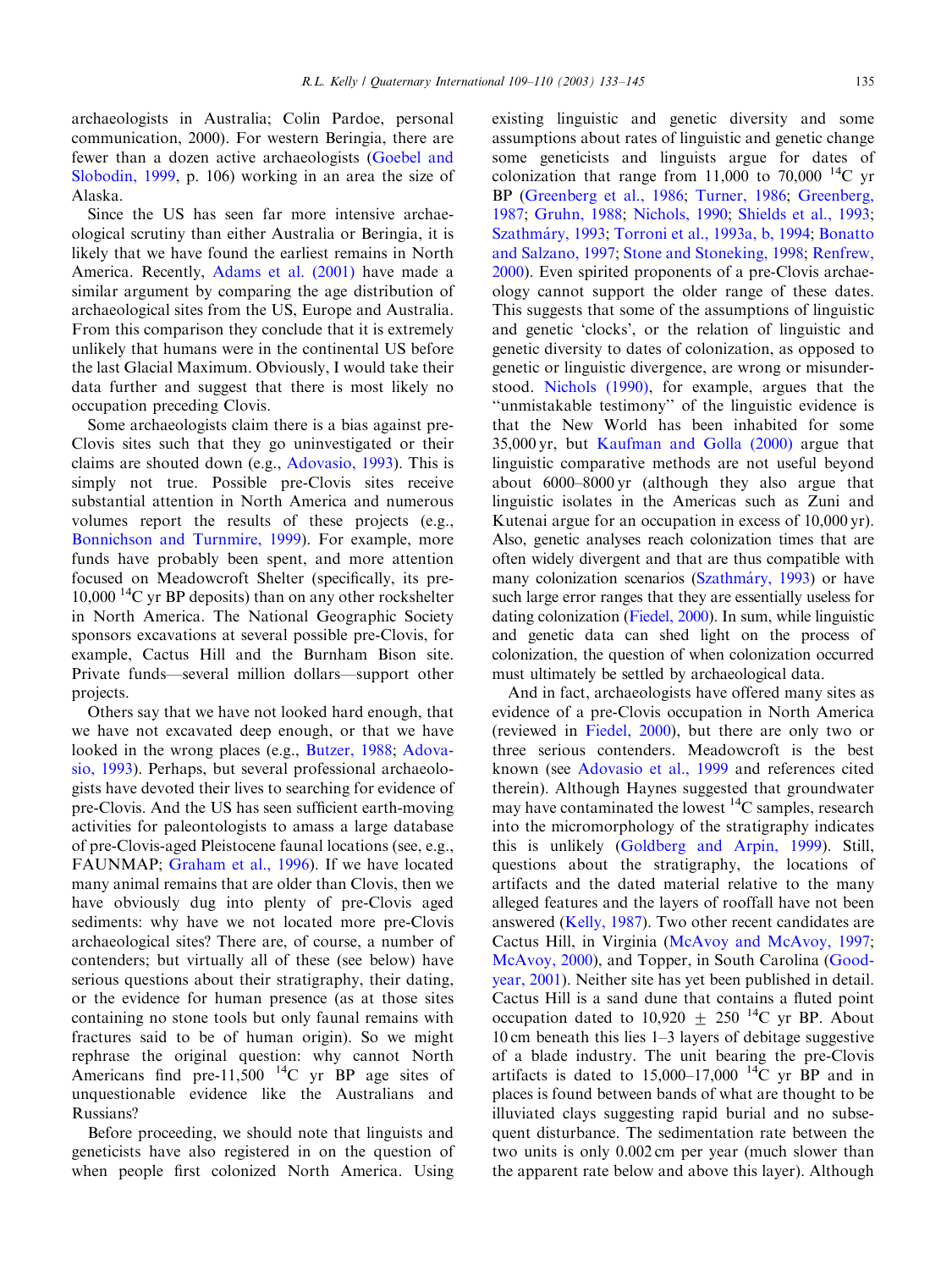archaeologists in Australia; Colin Pardoe, personal communication, 2000). For western Beringia, there are fewer than a dozen active archaeologists ([Goebel and](#page-10-0) [Slobodin, 1999,](#page-10-0) p. 106) working in an area the size of Alaska.

Since the US has seen far more intensive archaeological scrutiny than either Australia or Beringia, it is likely that we have found the earliest remains in North America. Recently, [Adams et al. \(2001\)](#page-8-0) have made a similar argument by comparing the age distribution of archaeological sites from the US, Europe and Australia. From this comparison they conclude that it is extremely unlikely that humans were in the continental US before the last Glacial Maximum. Obviously, I would take their data further and suggest that there is most likely no occupation preceding Clovis.

Some archaeologists claim there is a bias against pre-Clovis sites such that they go uninvestigated or their claims are shouted down (e.g., [Adovasio, 1993](#page-8-0)). This is simply not true. Possible pre-Clovis sites receive substantial attention in North America and numerous volumes report the results of these projects (e.g., [Bonnichson and Turnmire, 1999](#page-9-0)). For example, more funds have probably been spent, and more attention focused on Meadowcroft Shelter (specifically, its pre-10,000  $^{14}$ C yr BP deposits) than on any other rockshelter in North America. The National Geographic Society sponsors excavations at several possible pre-Clovis, for example, Cactus Hill and the Burnham Bison site. Private funds—several million dollars—support other projects.

Others say that we have not looked hard enough, that we have not excavated deep enough, or that we have looked in the wrong places (e.g., [Butzer, 1988;](#page-9-0) [Adova](#page-8-0)[sio, 1993](#page-8-0)). Perhaps, but several professional archaeologists have devoted their lives to searching for evidence of pre-Clovis. And the US has seen sufficient earth-moving activities for paleontologists to amass a large database of pre-Clovis-aged Pleistocene faunal locations (see, e.g., FAUNMAP; [Graham et al., 1996](#page-10-0)). If we have located many animal remains that are older than Clovis, then we have obviously dug into plenty of pre-Clovis aged sediments: why have we not located more pre-Clovis archaeological sites? There are, of course, a number of contenders; but virtually all of these (see below) have serious questions about their stratigraphy, their dating, or the evidence for human presence (as at those sites containing no stone tools but only faunal remains with fractures said to be of human origin). So we might rephrase the original question: why cannot North Americans find pre-11,500  $^{14}$ C yr BP age sites of unquestionable evidence like the Australians and Russians?

Before proceeding, we should note that linguists and geneticists have also registered in on the question of when people first colonized North America. Using

existing linguistic and genetic diversity and some assumptions about rates of linguistic and genetic change some geneticists and linguists argue for dates of colonization that range from 11,000 to 70,000  $^{14}$ C yr BP [\(Greenberg et al., 1986;](#page-10-0) [Turner, 1986;](#page-12-0) [Greenberg,](#page-10-0) [1987;](#page-10-0) [Gruhn, 1988](#page-10-0); [Nichols, 1990](#page-11-0); [Shields et al., 1993](#page-11-0); Szathmáry, 1993; [Torroni et al., 1993a, b, 1994;](#page-11-0) [Bonatto](#page-9-0) [and Salzano, 1997;](#page-9-0) [Stone and Stoneking, 1998;](#page-11-0) [Renfrew,](#page-11-0) [2000\)](#page-11-0). Even spirited proponents of a pre-Clovis archaeology cannot support the older range of these dates. This suggests that some of the assumptions of linguistic and genetic 'clocks', or the relation of linguistic and genetic diversity to dates of colonization, as opposed to genetic or linguistic divergence, are wrong or misunderstood. [Nichols \(1990\),](#page-11-0) for example, argues that the "unmistakable testimony" of the linguistic evidence is that the New World has been inhabited for some 35,000 yr, but [Kaufman and Golla \(2000\)](#page-10-0) argue that linguistic comparative methods are not useful beyond about 6000–8000 yr (although they also argue that linguistic isolates in the Americas such as Zuni and Kutenai argue for an occupation in excess of 10,000 yr). Also, genetic analyses reach colonization times that are often widely divergent and that are thus compatible with many colonization scenarios (Szathmáry, 1993) or have such large error ranges that they are essentially useless for dating colonization [\(Fiedel, 2000](#page-9-0)). In sum, while linguistic and genetic data can shed light on the process of colonization, the question of when colonization occurred must ultimately be settled by archaeological data.

And in fact, archaeologists have offered many sites as evidence of a pre-Clovis occupation in North America (reviewed in [Fiedel, 2000\)](#page-9-0), but there are only two or three serious contenders. Meadowcroft is the best known (see [Adovasio et al., 1999](#page-9-0) and references cited therein). Although Haynes suggested that groundwater may have contaminated the lowest  ${}^{14}C$  samples, research into the micromorphology of the stratigraphy indicates this is unlikely [\(Goldberg and Arpin, 1999](#page-10-0)). Still, questions about the stratigraphy, the locations of artifacts and the dated material relative to the many alleged features and the layers of rooffall have not been answered [\(Kelly, 1987\)](#page-10-0). Two other recent candidates are Cactus Hill, in Virginia ([McAvoy and McAvoy, 1997](#page-10-0); [McAvoy, 2000\)](#page-10-0), and Topper, in South Carolina ([Good](#page-10-0)[year, 2001](#page-10-0)). Neither site has yet been published in detail. Cactus Hill is a sand dune that contains a fluted point occupation dated to 10,920  $\pm$  250 <sup>14</sup>C yr BP. About 10 cm beneath this lies 1–3 layers of debitage suggestive of a blade industry. The unit bearing the pre-Clovis artifacts is dated to  $15,000-17,000$  <sup>14</sup>C yr BP and in places is found between bands of what are thought to be illuviated clays suggesting rapid burial and no subsequent disturbance. The sedimentation rate between the two units is only 0.002 cm per year (much slower than the apparent rate below and above this layer). Although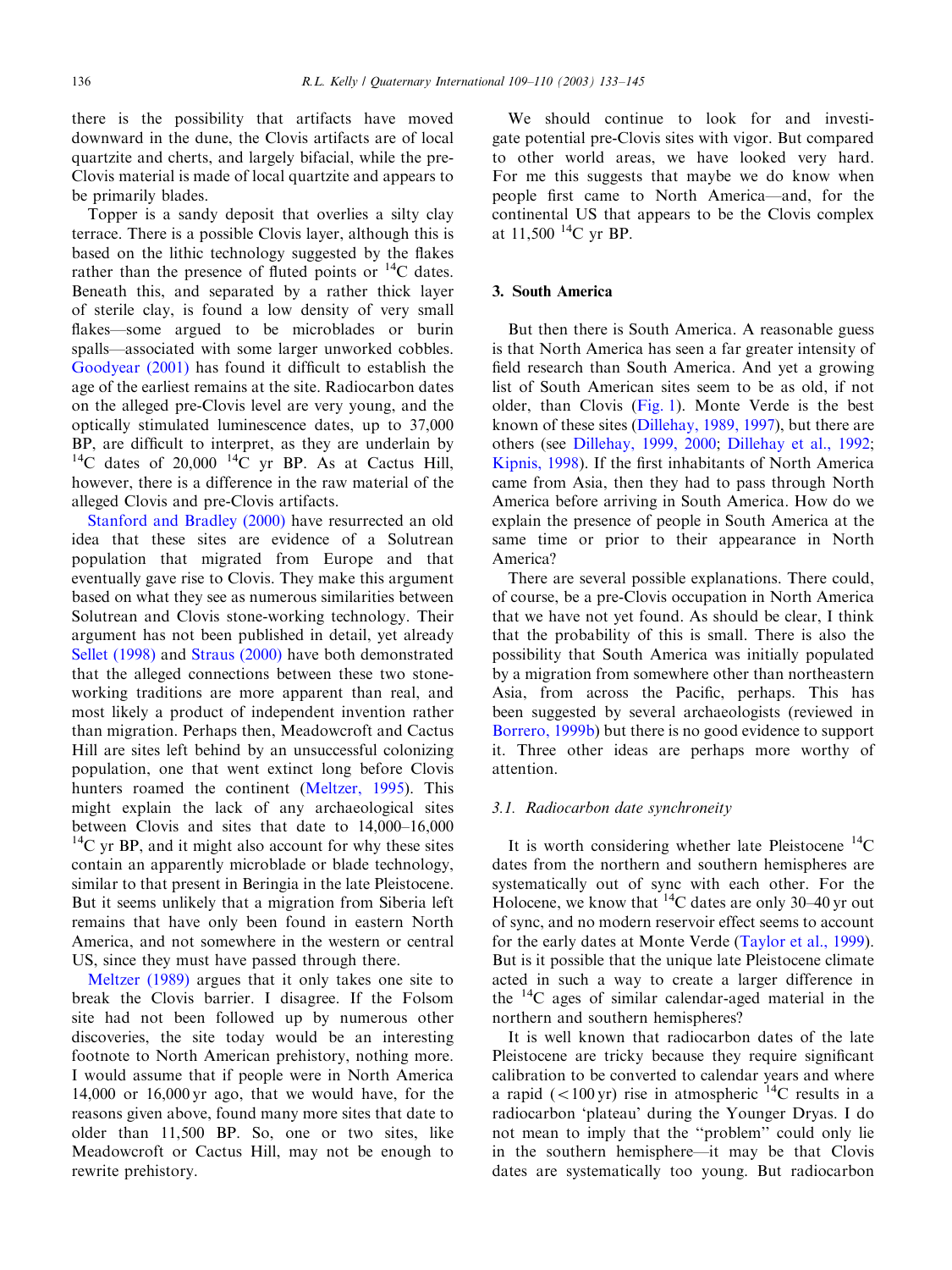there is the possibility that artifacts have moved downward in the dune, the Clovis artifacts are of local quartzite and cherts, and largely bifacial, while the pre-Clovis material is made of local quartzite and appears to be primarily blades.

Topper is a sandy deposit that overlies a silty clay terrace. There is a possible Clovis layer, although this is based on the lithic technology suggested by the flakes rather than the presence of fluted points or  $^{14}C$  dates. Beneath this, and separated by a rather thick layer of sterile clay, is found a low density of very small flakes—some argued to be microblades or burin spalls—associated with some larger unworked cobbles. [Goodyear \(2001\)](#page-10-0) has found it difficult to establish the age of the earliest remains at the site. Radiocarbon dates on the alleged pre-Clovis level are very young, and the optically stimulated luminescence dates, up to 37,000 BP, are difficult to interpret, as they are underlain by  $^{14}$ C dates of 20,000  $^{14}$ C yr BP. As at Cactus Hill, however, there is a difference in the raw material of the alleged Clovis and pre-Clovis artifacts.

[Stanford and Bradley \(2000\)](#page-11-0) have resurrected an old idea that these sites are evidence of a Solutrean population that migrated from Europe and that eventually gave rise to Clovis. They make this argument based on what they see as numerous similarities between Solutrean and Clovis stone-working technology. Their argument has not been published in detail, yet already [Sellet \(1998\)](#page-11-0) and [Straus \(2000\)](#page-11-0) have both demonstrated that the alleged connections between these two stoneworking traditions are more apparent than real, and most likely a product of independent invention rather than migration. Perhaps then, Meadowcroft and Cactus Hill are sites left behind by an unsuccessful colonizing population, one that went extinct long before Clovis hunters roamed the continent [\(Meltzer, 1995\)](#page-11-0). This might explain the lack of any archaeological sites between Clovis and sites that date to 14,000–16,000  $14^{\circ}$ C yr BP, and it might also account for why these sites contain an apparently microblade or blade technology, similar to that present in Beringia in the late Pleistocene. But it seems unlikely that a migration from Siberia left remains that have only been found in eastern North America, and not somewhere in the western or central US, since they must have passed through there.

[Meltzer \(1989\)](#page-11-0) argues that it only takes one site to break the Clovis barrier. I disagree. If the Folsom site had not been followed up by numerous other discoveries, the site today would be an interesting footnote to North American prehistory, nothing more. I would assume that if people were in North America 14,000 or 16,000 yr ago, that we would have, for the reasons given above, found many more sites that date to older than 11,500 BP. So, one or two sites, like Meadowcroft or Cactus Hill, may not be enough to rewrite prehistory.

We should continue to look for and investigate potential pre-Clovis sites with vigor. But compared to other world areas, we have looked very hard. For me this suggests that maybe we do know when people first came to North America—and, for the continental US that appears to be the Clovis complex at  $11,500$  <sup>14</sup>C yr BP.

# 3. South America

But then there is South America. A reasonable guess is that North America has seen a far greater intensity of field research than South America. And yet a growing list of South American sites seem to be as old, if not older, than Clovis [\(Fig. 1\)](#page-4-0). Monte Verde is the best known of these sites [\(Dillehay, 1989, 1997\)](#page-9-0), but there are others (see [Dillehay, 1999, 2000](#page-9-0); [Dillehay et al., 1992](#page-9-0); [Kipnis, 1998](#page-10-0)). If the first inhabitants of North America came from Asia, then they had to pass through North America before arriving in South America. How do we explain the presence of people in South America at the same time or prior to their appearance in North America?

There are several possible explanations. There could, of course, be a pre-Clovis occupation in North America that we have not yet found. As should be clear, I think that the probability of this is small. There is also the possibility that South America was initially populated by a migration from somewhere other than northeastern Asia, from across the Pacific, perhaps. This has been suggested by several archaeologists (reviewed in [Borrero, 1999b\)](#page-9-0) but there is no good evidence to support it. Three other ideas are perhaps more worthy of attention.

# 3.1. Radiocarbon date synchroneity

It is worth considering whether late Pleistocene  $^{14}$ C dates from the northern and southern hemispheres are systematically out of sync with each other. For the Holocene, we know that  $^{14}$ C dates are only 30–40 yr out of sync, and no modern reservoir effect seems to account for the early dates at Monte Verde ([Taylor et al., 1999\)](#page-11-0). But is it possible that the unique late Pleistocene climate acted in such a way to create a larger difference in the  $^{14}$ C ages of similar calendar-aged material in the northern and southern hemispheres?

It is well known that radiocarbon dates of the late Pleistocene are tricky because they require significant calibration to be converted to calendar years and where a rapid  $(<100 \text{ yr})$  rise in atmospheric  $14C$  results in a radiocarbon 'plateau' during the Younger Dryas. I do not mean to imply that the ''problem'' could only lie in the southern hemisphere—it may be that Clovis dates are systematically too young. But radiocarbon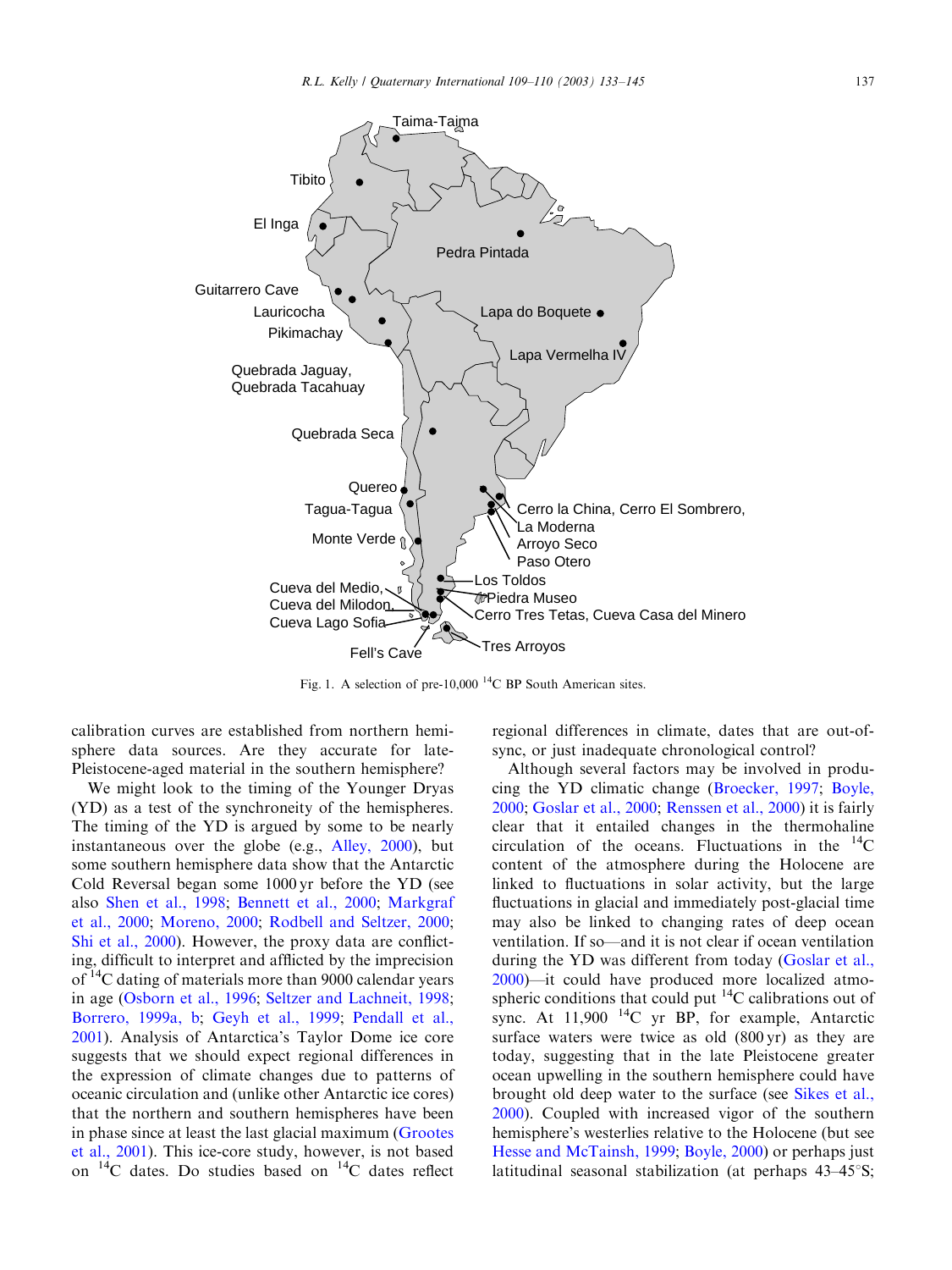<span id="page-4-0"></span>

Fig. 1. A selection of pre-10,000<sup> $14$ </sup>C BP South American sites.

calibration curves are established from northern hemisphere data sources. Are they accurate for late-Pleistocene-aged material in the southern hemisphere?

We might look to the timing of the Younger Dryas (YD) as a test of the synchroneity of the hemispheres. The timing of the YD is argued by some to be nearly instantaneous over the globe (e.g., [Alley, 2000](#page-9-0)), but some southern hemisphere data show that the Antarctic Cold Reversal began some 1000 yr before the YD (see also [Shen et al., 1998](#page-11-0); [Bennett et al., 2000](#page-9-0); [Markgraf](#page-10-0) [et al., 2000;](#page-10-0) [Moreno, 2000](#page-11-0); [Rodbell and Seltzer, 2000](#page-11-0); [Shi et al., 2000](#page-11-0)). However, the proxy data are conflicting, difficult to interpret and afflicted by the imprecision of <sup>14</sup>C dating of materials more than 9000 calendar years in age [\(Osborn et al., 1996](#page-11-0); [Seltzer and Lachneit, 1998](#page-11-0); [Borrero, 1999a, b;](#page-9-0) [Geyh et al., 1999;](#page-10-0) [Pendall et al.,](#page-11-0) [2001\)](#page-11-0). Analysis of Antarctica's Taylor Dome ice core suggests that we should expect regional differences in the expression of climate changes due to patterns of oceanic circulation and (unlike other Antarctic ice cores) that the northern and southern hemispheres have been in phase since at least the last glacial maximum [\(Grootes](#page-10-0) [et al., 2001\)](#page-10-0). This ice-core study, however, is not based on 14C dates. Do studies based on 14C dates reflect

regional differences in climate, dates that are out-ofsync, or just inadequate chronological control?

Although several factors may be involved in producing the YD climatic change [\(Broecker, 1997](#page-9-0); [Boyle,](#page-9-0) [2000;](#page-9-0) [Goslar et al., 2000](#page-10-0); [Renssen et al., 2000](#page-11-0)) it is fairly clear that it entailed changes in the thermohaline circulation of the oceans. Fluctuations in the  $^{14}$ C content of the atmosphere during the Holocene are linked to fluctuations in solar activity, but the large fluctuations in glacial and immediately post-glacial time may also be linked to changing rates of deep ocean ventilation. If so—and it is not clear if ocean ventilation during the YD was different from today [\(Goslar et al.,](#page-10-0) [2000\)](#page-10-0)—it could have produced more localized atmospheric conditions that could put  ${}^{14}C$  calibrations out of sync. At  $11,900$  <sup>14</sup>C yr BP, for example, Antarctic surface waters were twice as old (800 yr) as they are today, suggesting that in the late Pleistocene greater ocean upwelling in the southern hemisphere could have brought old deep water to the surface (see [Sikes et al.,](#page-11-0) [2000\)](#page-11-0). Coupled with increased vigor of the southern hemisphere's westerlies relative to the Holocene (but see [Hesse and McTainsh, 1999;](#page-10-0) [Boyle, 2000](#page-9-0)) or perhaps just latitudinal seasonal stabilization (at perhaps  $43-45^{\circ}$ S;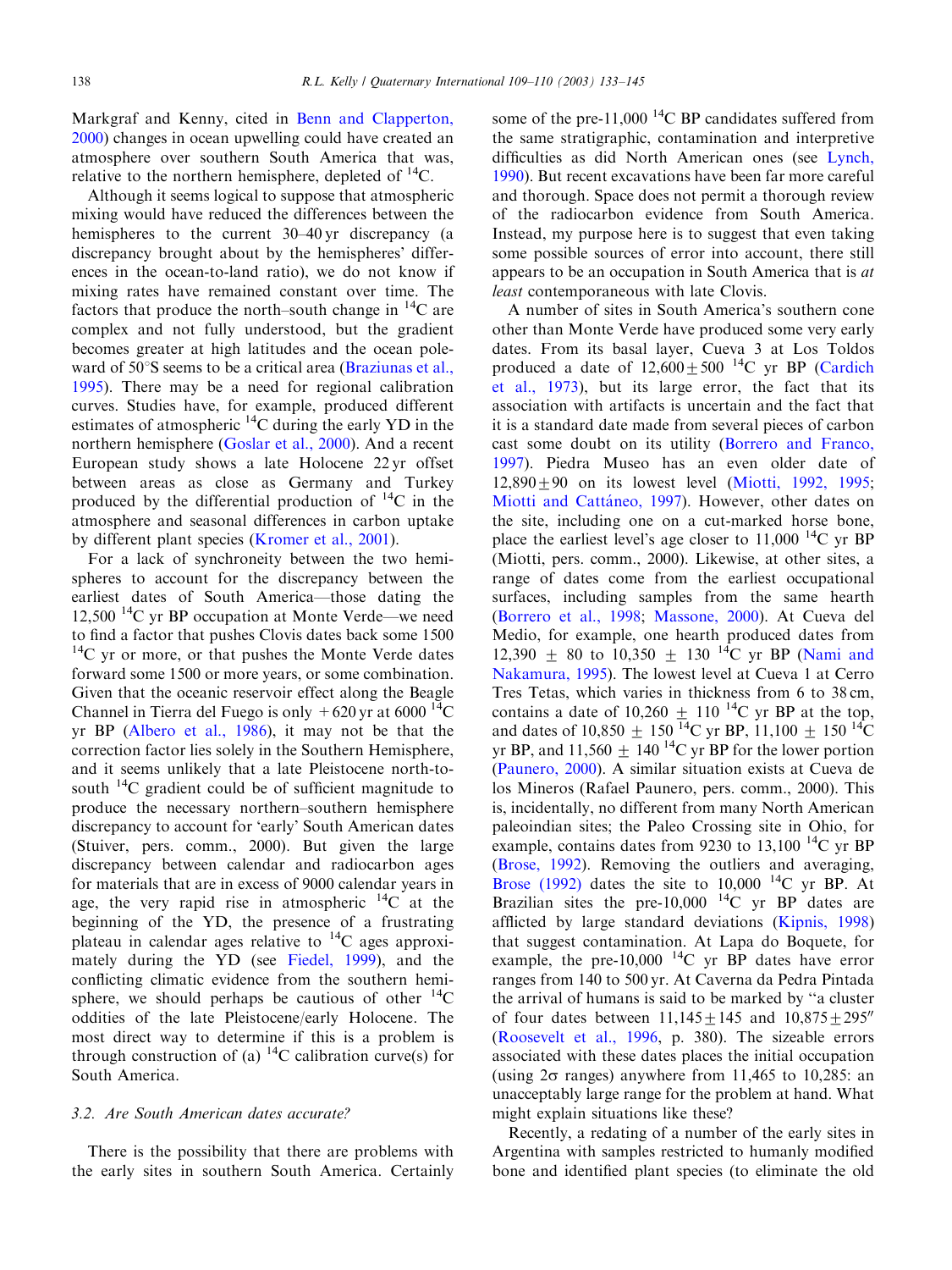Markgraf and Kenny, cited in [Benn and Clapperton,](#page-9-0) [2000\)](#page-9-0) changes in ocean upwelling could have created an atmosphere over southern South America that was, relative to the northern hemisphere, depleted of  $^{14}C$ .

Although it seems logical to suppose that atmospheric mixing would have reduced the differences between the hemispheres to the current 30–40 yr discrepancy (a discrepancy brought about by the hemispheres' differences in the ocean-to-land ratio), we do not know if mixing rates have remained constant over time. The factors that produce the north–south change in  $^{14}$ C are complex and not fully understood, but the gradient becomes greater at high latitudes and the ocean poleward of  $50^{\circ}$ S seems to be a critical area ([Braziunas et al.,](#page-9-0) [1995\)](#page-9-0). There may be a need for regional calibration curves. Studies have, for example, produced different estimates of atmospheric  $^{14}$ C during the early YD in the northern hemisphere [\(Goslar et al., 2000](#page-10-0)). And a recent European study shows a late Holocene 22 yr offset between areas as close as Germany and Turkey produced by the differential production of  $^{14}$ C in the atmosphere and seasonal differences in carbon uptake by different plant species [\(Kromer et al., 2001](#page-10-0)).

For a lack of synchroneity between the two hemispheres to account for the discrepancy between the earliest dates of South America—those dating the 12,500<sup> $14$ </sup>C yr BP occupation at Monte Verde—we need to find a factor that pushes Clovis dates back some 1500  $14^{\circ}$ C yr or more, or that pushes the Monte Verde dates forward some 1500 or more years, or some combination. Given that the oceanic reservoir effect along the Beagle Channel in Tierra del Fuego is only  $+620$  yr at 6000<sup>-14</sup>C yr BP [\(Albero et al., 1986\)](#page-9-0), it may not be that the correction factor lies solely in the Southern Hemisphere, and it seems unlikely that a late Pleistocene north-tosouth  $14C$  gradient could be of sufficient magnitude to produce the necessary northern–southern hemisphere discrepancy to account for 'early' South American dates (Stuiver, pers. comm., 2000). But given the large discrepancy between calendar and radiocarbon ages for materials that are in excess of 9000 calendar years in age, the very rapid rise in atmospheric  $^{14}C$  at the beginning of the YD, the presence of a frustrating plateau in calendar ages relative to  $^{14}C$  ages approximately during the YD (see [Fiedel, 1999](#page-9-0)), and the conflicting climatic evidence from the southern hemisphere, we should perhaps be cautious of other  $^{14}$ C oddities of the late Pleistocene/early Holocene. The most direct way to determine if this is a problem is through construction of (a) <sup>14</sup>C calibration curve(s) for South America.

# 3.2. Are South American dates accurate?

There is the possibility that there are problems with the early sites in southern South America. Certainly some of the pre-11,000<sup>-14</sup>C BP candidates suffered from the same stratigraphic, contamination and interpretive difficulties as did North American ones (see [Lynch,](#page-10-0) [1990\)](#page-10-0). But recent excavations have been far more careful and thorough. Space does not permit a thorough review of the radiocarbon evidence from South America. Instead, my purpose here is to suggest that even taking some possible sources of error into account, there still appears to be an occupation in South America that is *at* least contemporaneous with late Clovis.

A number of sites in South America's southern cone other than Monte Verde have produced some very early dates. From its basal layer, Cueva 3 at Los Toldos produced a date of  $12,600 \pm 500$  <sup>14</sup>C yr BP ([Cardich](#page-9-0) [et al., 1973\)](#page-9-0), but its large error, the fact that its association with artifacts is uncertain and the fact that it is a standard date made from several pieces of carbon cast some doubt on its utility [\(Borrero and Franco,](#page-9-0) [1997\)](#page-9-0). Piedra Museo has an even older date of  $12,890 \pm 90$  on its lowest level [\(Miotti, 1992, 1995](#page-11-0); Miotti and Cattáneo, 1997). However, other dates on the site, including one on a cut-marked horse bone, place the earliest level's age closer to  $11,000$  <sup>14</sup>C yr BP (Miotti, pers. comm., 2000). Likewise, at other sites, a range of dates come from the earliest occupational surfaces, including samples from the same hearth [\(Borrero et al., 1998](#page-9-0); [Massone, 2000\)](#page-10-0). At Cueva del Medio, for example, one hearth produced dates from  $12,390 + 80$  to  $10,350 + 130$  <sup>14</sup>C yr BP [\(Nami and](#page-11-0) [Nakamura, 1995\)](#page-11-0). The lowest level at Cueva 1 at Cerro Tres Tetas, which varies in thickness from 6 to 38 cm, contains a date of 10,260  $\pm$  110 <sup>14</sup>C yr BP at the top, and dates of 10,850  $\pm$  150 <sup>14</sup>C yr BP, 11,100  $\pm$  150 <sup>14</sup>C yr BP, and 11,560  $\pm$  140 <sup>14</sup>C yr BP for the lower portion [\(Paunero, 2000](#page-11-0)). A similar situation exists at Cueva de los Mineros (Rafael Paunero, pers. comm., 2000). This is, incidentally, no different from many North American paleoindian sites; the Paleo Crossing site in Ohio, for example, contains dates from 9230 to 13,100<sup>-14</sup>C yr BP [\(Brose, 1992\)](#page-9-0). Removing the outliers and averaging, [Brose \(1992\)](#page-9-0) dates the site to  $10,000$  <sup>14</sup>C yr BP. At Brazilian sites the pre-10,000  $^{14}$ C yr BP dates are afflicted by large standard deviations ([Kipnis, 1998\)](#page-10-0) that suggest contamination. At Lapa do Boquete, for example, the pre-10,000  $^{14}$ C yr BP dates have error ranges from 140 to 500 yr. At Caverna da Pedra Pintada the arrival of humans is said to be marked by ''a cluster of four dates between  $11,145+145$  and  $10,875+295$ " [\(Roosevelt et al., 1996,](#page-11-0) p. 380). The sizeable errors associated with these dates places the initial occupation (using  $2\sigma$  ranges) anywhere from 11,465 to 10,285: an unacceptably large range for the problem at hand. What might explain situations like these?

Recently, a redating of a number of the early sites in Argentina with samples restricted to humanly modified bone and identified plant species (to eliminate the old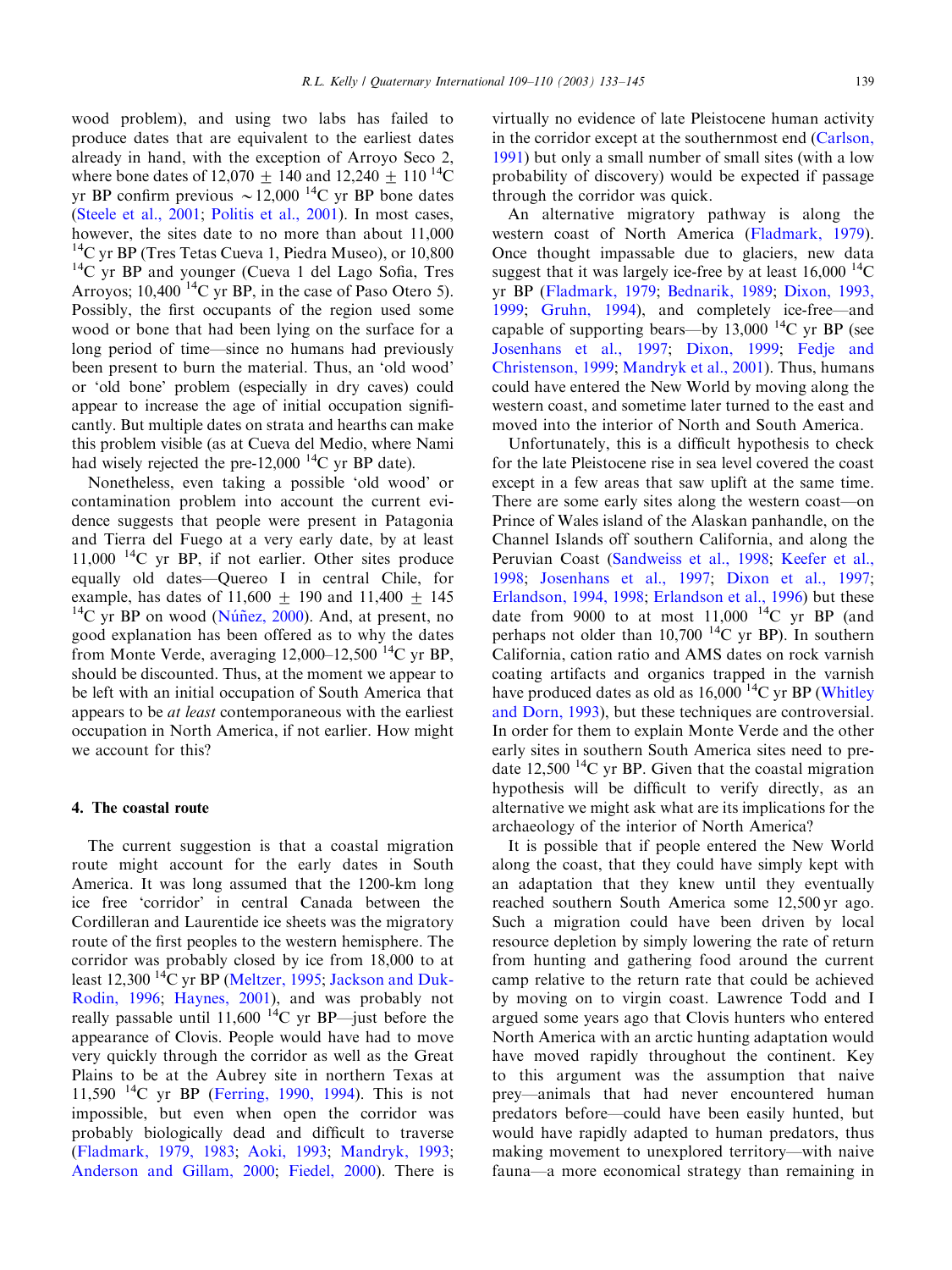wood problem), and using two labs has failed to produce dates that are equivalent to the earliest dates already in hand, with the exception of Arroyo Seco 2, where bone dates of 12,070  $\pm$  140 and 12,240  $\pm$  110 <sup>14</sup>C yr BP confirm previous  $\sim$  12,000<sup>-14</sup>C yr BP bone dates [\(Steele et al., 2001](#page-11-0); [Politis et al., 2001\)](#page-11-0). In most cases, however, the sites date to no more than about 11,000  $14$ C yr BP (Tres Tetas Cueva 1, Piedra Museo), or 10,800  $14^{\circ}$ C yr BP and younger (Cueva 1 del Lago Sofia, Tres Arroyos;  $10,400^{14}$ C yr BP, in the case of Paso Otero 5). Possibly, the first occupants of the region used some wood or bone that had been lying on the surface for a long period of time—since no humans had previously been present to burn the material. Thus, an 'old wood' or 'old bone' problem (especially in dry caves) could appear to increase the age of initial occupation significantly. But multiple dates on strata and hearths can make this problem visible (as at Cueva del Medio, where Nami had wisely rejected the pre-12,000<sup> $14$ </sup>C yr BP date).

Nonetheless, even taking a possible 'old wood' or contamination problem into account the current evidence suggests that people were present in Patagonia and Tierra del Fuego at a very early date, by at least  $11,000$  <sup>14</sup>C yr BP, if not earlier. Other sites produce equally old dates—Quereo I in central Chile, for example, has dates of 11,600  $\pm$  190 and 11,400  $\pm$  145  $14C$  yr BP on wood [\(N](#page-11-0)úñez, 2000). And, at present, no good explanation has been offered as to why the dates from Monte Verde, averaging  $12,000-12,500$  <sup>14</sup>C yr BP, should be discounted. Thus, at the moment we appear to be left with an initial occupation of South America that appears to be at least contemporaneous with the earliest occupation in North America, if not earlier. How might we account for this?

# 4. The coastal route

The current suggestion is that a coastal migration route might account for the early dates in South America. It was long assumed that the 1200-km long ice free 'corridor' in central Canada between the Cordilleran and Laurentide ice sheets was the migratory route of the first peoples to the western hemisphere. The corridor was probably closed by ice from 18,000 to at least 12,300<sup>14</sup>C yr BP [\(Meltzer, 1995](#page-11-0); [Jackson and Duk-](#page-10-0)[Rodin, 1996](#page-10-0); [Haynes, 2001](#page-10-0)), and was probably not really passable until 11,600  $^{14}$ C yr BP—just before the appearance of Clovis. People would have had to move very quickly through the corridor as well as the Great Plains to be at the Aubrey site in northern Texas at 11,590  $^{14}$ C yr BP ([Ferring, 1990, 1994\)](#page-9-0). This is not impossible, but even when open the corridor was probably biologically dead and difficult to traverse [\(Fladmark, 1979, 1983;](#page-10-0) [Aoki, 1993;](#page-9-0) [Mandryk, 1993](#page-10-0); [Anderson and Gillam, 2000](#page-9-0); [Fiedel, 2000](#page-9-0)). There is virtually no evidence of late Pleistocene human activity in the corridor except at the southernmost end ([Carlson,](#page-9-0) [1991\)](#page-9-0) but only a small number of small sites (with a low probability of discovery) would be expected if passage through the corridor was quick.

An alternative migratory pathway is along the western coast of North America [\(Fladmark, 1979\)](#page-10-0). Once thought impassable due to glaciers, new data suggest that it was largely ice-free by at least  $16,000^{14}$ C yr BP [\(Fladmark, 1979;](#page-10-0) [Bednarik, 1989](#page-9-0); [Dixon, 1993,](#page-9-0) [1999;](#page-9-0) [Gruhn, 1994\)](#page-10-0), and completely ice-free—and capable of supporting bears—by  $13,000^{-14}$ C yr BP (see [Josenhans et al., 1997;](#page-10-0) [Dixon, 1999](#page-9-0); [Fedje and](#page-9-0) [Christenson, 1999](#page-9-0); [Mandryk et al., 2001](#page-10-0)). Thus, humans could have entered the New World by moving along the western coast, and sometime later turned to the east and moved into the interior of North and South America.

Unfortunately, this is a difficult hypothesis to check for the late Pleistocene rise in sea level covered the coast except in a few areas that saw uplift at the same time. There are some early sites along the western coast—on Prince of Wales island of the Alaskan panhandle, on the Channel Islands off southern California, and along the Peruvian Coast [\(Sandweiss et al., 1998](#page-11-0); [Keefer et al.,](#page-10-0) [1998;](#page-10-0) [Josenhans et al., 1997](#page-10-0); [Dixon et al., 1997](#page-9-0); [Erlandson, 1994, 1998](#page-9-0); [Erlandson et al., 1996](#page-9-0)) but these date from 9000 to at most  $11,000$  <sup>14</sup>C yr BP (and perhaps not older than  $10,700$  <sup>14</sup>C yr BP). In southern California, cation ratio and AMS dates on rock varnish coating artifacts and organics trapped in the varnish have produced dates as old as  $16,000^{-14}$ C yr BP [\(Whitley](#page-12-0) [and Dorn, 1993](#page-12-0)), but these techniques are controversial. In order for them to explain Monte Verde and the other early sites in southern South America sites need to predate 12,500<sup>-14</sup>C yr BP. Given that the coastal migration hypothesis will be difficult to verify directly, as an alternative we might ask what are its implications for the archaeology of the interior of North America?

It is possible that if people entered the New World along the coast, that they could have simply kept with an adaptation that they knew until they eventually reached southern South America some 12,500 yr ago. Such a migration could have been driven by local resource depletion by simply lowering the rate of return from hunting and gathering food around the current camp relative to the return rate that could be achieved by moving on to virgin coast. Lawrence Todd and I argued some years ago that Clovis hunters who entered North America with an arctic hunting adaptation would have moved rapidly throughout the continent. Key to this argument was the assumption that naive prey—animals that had never encountered human predators before—could have been easily hunted, but would have rapidly adapted to human predators, thus making movement to unexplored territory—with naive fauna—a more economical strategy than remaining in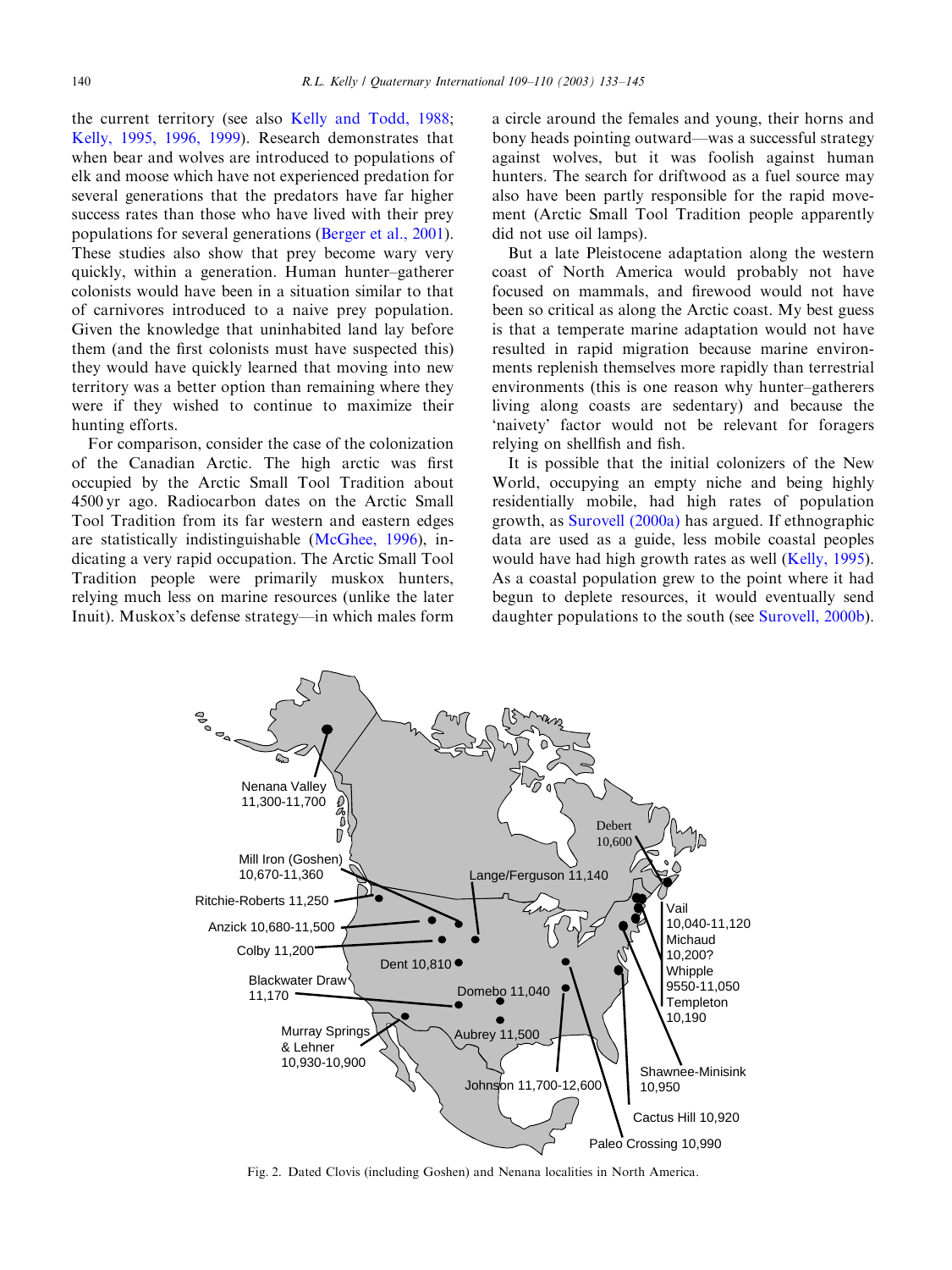<span id="page-7-0"></span>the current territory (see also [Kelly and Todd, 1988](#page-10-0); [Kelly, 1995, 1996, 1999](#page-10-0)). Research demonstrates that when bear and wolves are introduced to populations of elk and moose which have not experienced predation for several generations that the predators have far higher success rates than those who have lived with their prey populations for several generations ([Berger et al., 2001\)](#page-9-0). These studies also show that prey become wary very quickly, within a generation. Human hunter–gatherer colonists would have been in a situation similar to that of carnivores introduced to a naive prey population. Given the knowledge that uninhabited land lay before them (and the first colonists must have suspected this) they would have quickly learned that moving into new territory was a better option than remaining where they were if they wished to continue to maximize their hunting efforts.

For comparison, consider the case of the colonization of the Canadian Arctic. The high arctic was first occupied by the Arctic Small Tool Tradition about 4500 yr ago. Radiocarbon dates on the Arctic Small Tool Tradition from its far western and eastern edges are statistically indistinguishable ([McGhee, 1996](#page-10-0)), indicating a very rapid occupation. The Arctic Small Tool Tradition people were primarily muskox hunters, relying much less on marine resources (unlike the later Inuit). Muskox's defense strategy—in which males form a circle around the females and young, their horns and bony heads pointing outward—was a successful strategy against wolves, but it was foolish against human hunters. The search for driftwood as a fuel source may also have been partly responsible for the rapid movement (Arctic Small Tool Tradition people apparently did not use oil lamps).

But a late Pleistocene adaptation along the western coast of North America would probably not have focused on mammals, and firewood would not have been so critical as along the Arctic coast. My best guess is that a temperate marine adaptation would not have resulted in rapid migration because marine environments replenish themselves more rapidly than terrestrial environments (this is one reason why hunter–gatherers living along coasts are sedentary) and because the 'naivety' factor would not be relevant for foragers relying on shellfish and fish.

It is possible that the initial colonizers of the New World, occupying an empty niche and being highly residentially mobile, had high rates of population growth, as [Surovell \(2000a\)](#page-11-0) has argued. If ethnographic data are used as a guide, less mobile coastal peoples would have had high growth rates as well [\(Kelly, 1995\)](#page-10-0). As a coastal population grew to the point where it had begun to deplete resources, it would eventually send daughter populations to the south (see [Surovell, 2000b\)](#page-11-0).



Fig. 2. Dated Clovis (including Goshen) and Nenana localities in North America.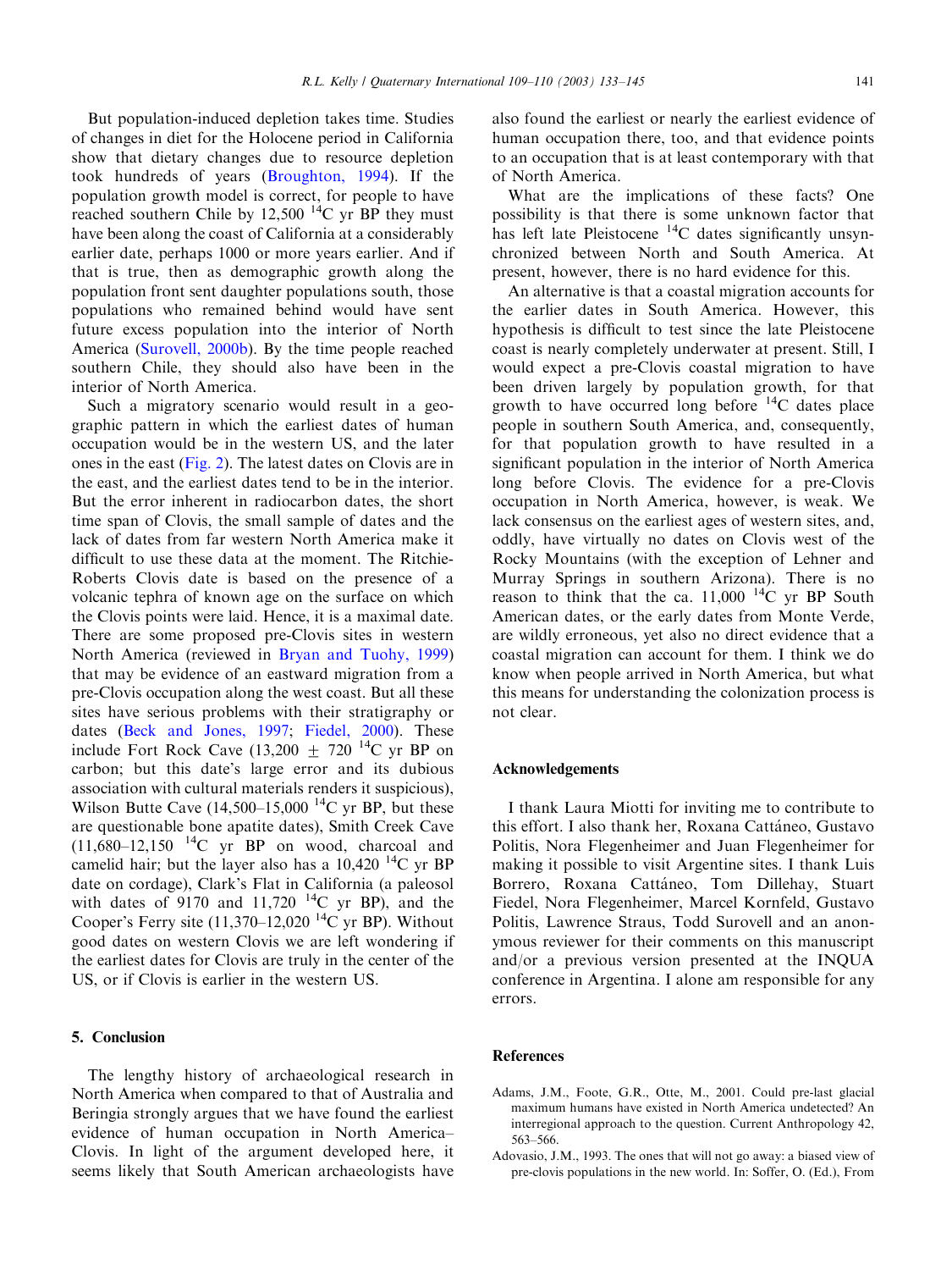<span id="page-8-0"></span>But population-induced depletion takes time. Studies of changes in diet for the Holocene period in California show that dietary changes due to resource depletion took hundreds of years [\(Broughton, 1994](#page-9-0)). If the population growth model is correct, for people to have reached southern Chile by  $12,500^{-14}$ C yr BP they must have been along the coast of California at a considerably earlier date, perhaps 1000 or more years earlier. And if that is true, then as demographic growth along the population front sent daughter populations south, those populations who remained behind would have sent future excess population into the interior of North America [\(Surovell, 2000b](#page-11-0)). By the time people reached southern Chile, they should also have been in the interior of North America.

Such a migratory scenario would result in a geographic pattern in which the earliest dates of human occupation would be in the western US, and the later ones in the east [\(Fig. 2\)](#page-7-0). The latest dates on Clovis are in the east, and the earliest dates tend to be in the interior. But the error inherent in radiocarbon dates, the short time span of Clovis, the small sample of dates and the lack of dates from far western North America make it difficult to use these data at the moment. The Ritchie-Roberts Clovis date is based on the presence of a volcanic tephra of known age on the surface on which the Clovis points were laid. Hence, it is a maximal date. There are some proposed pre-Clovis sites in western North America (reviewed in [Bryan and Tuohy, 1999\)](#page-9-0) that may be evidence of an eastward migration from a pre-Clovis occupation along the west coast. But all these sites have serious problems with their stratigraphy or dates [\(Beck and Jones, 1997;](#page-9-0) [Fiedel, 2000](#page-9-0)). These include Fort Rock Cave (13,200  $\pm$  720 <sup>14</sup>C yr BP on carbon; but this date's large error and its dubious association with cultural materials renders it suspicious), Wilson Butte Cave  $(14,500-15,000$  <sup>14</sup>C yr BP, but these are questionable bone apatite dates), Smith Creek Cave  $(11,680-12,150$  <sup>14</sup>C yr BP on wood, charcoal and camelid hair; but the layer also has a  $10,420$  <sup>14</sup>C yr BP date on cordage), Clark's Flat in California (a paleosol with dates of 9170 and 11,720  $^{14}$ C yr BP), and the Cooper's Ferry site  $(11,370-12,020$  <sup>14</sup>C yr BP). Without good dates on western Clovis we are left wondering if the earliest dates for Clovis are truly in the center of the US, or if Clovis is earlier in the western US.

# 5. Conclusion

The lengthy history of archaeological research in North America when compared to that of Australia and Beringia strongly argues that we have found the earliest evidence of human occupation in North America– Clovis. In light of the argument developed here, it seems likely that South American archaeologists have also found the earliest or nearly the earliest evidence of human occupation there, too, and that evidence points to an occupation that is at least contemporary with that of North America.

What are the implications of these facts? One possibility is that there is some unknown factor that has left late Pleistocene<sup>14</sup>C dates significantly unsynchronized between North and South America. At present, however, there is no hard evidence for this.

An alternative is that a coastal migration accounts for the earlier dates in South America. However, this hypothesis is difficult to test since the late Pleistocene coast is nearly completely underwater at present. Still, I would expect a pre-Clovis coastal migration to have been driven largely by population growth, for that growth to have occurred long before  $^{14}C$  dates place people in southern South America, and, consequently, for that population growth to have resulted in a significant population in the interior of North America long before Clovis. The evidence for a pre-Clovis occupation in North America, however, is weak. We lack consensus on the earliest ages of western sites, and, oddly, have virtually no dates on Clovis west of the Rocky Mountains (with the exception of Lehner and Murray Springs in southern Arizona). There is no reason to think that the ca.  $11,000$  <sup>14</sup>C yr BP South American dates, or the early dates from Monte Verde, are wildly erroneous, yet also no direct evidence that a coastal migration can account for them. I think we do know when people arrived in North America, but what this means for understanding the colonization process is not clear.

## Acknowledgements

I thank Laura Miotti for inviting me to contribute to this effort. I also thank her, Roxana Cattáneo, Gustavo Politis, Nora Flegenheimer and Juan Flegenheimer for making it possible to visit Argentine sites. I thank Luis Borrero, Roxana Cattáneo, Tom Dillehay, Stuart Fiedel, Nora Flegenheimer, Marcel Kornfeld, Gustavo Politis, Lawrence Straus, Todd Surovell and an anonymous reviewer for their comments on this manuscript and/or a previous version presented at the INQUA conference in Argentina. I alone am responsible for any errors.

#### References

- Adams, J.M., Foote, G.R., Otte, M., 2001. Could pre-last glacial maximum humans have existed in North America undetected? An interregional approach to the question. Current Anthropology 42, 563–566.
- Adovasio, J.M., 1993. The ones that will not go away: a biased view of pre-clovis populations in the new world. In: Soffer, O. (Ed.), From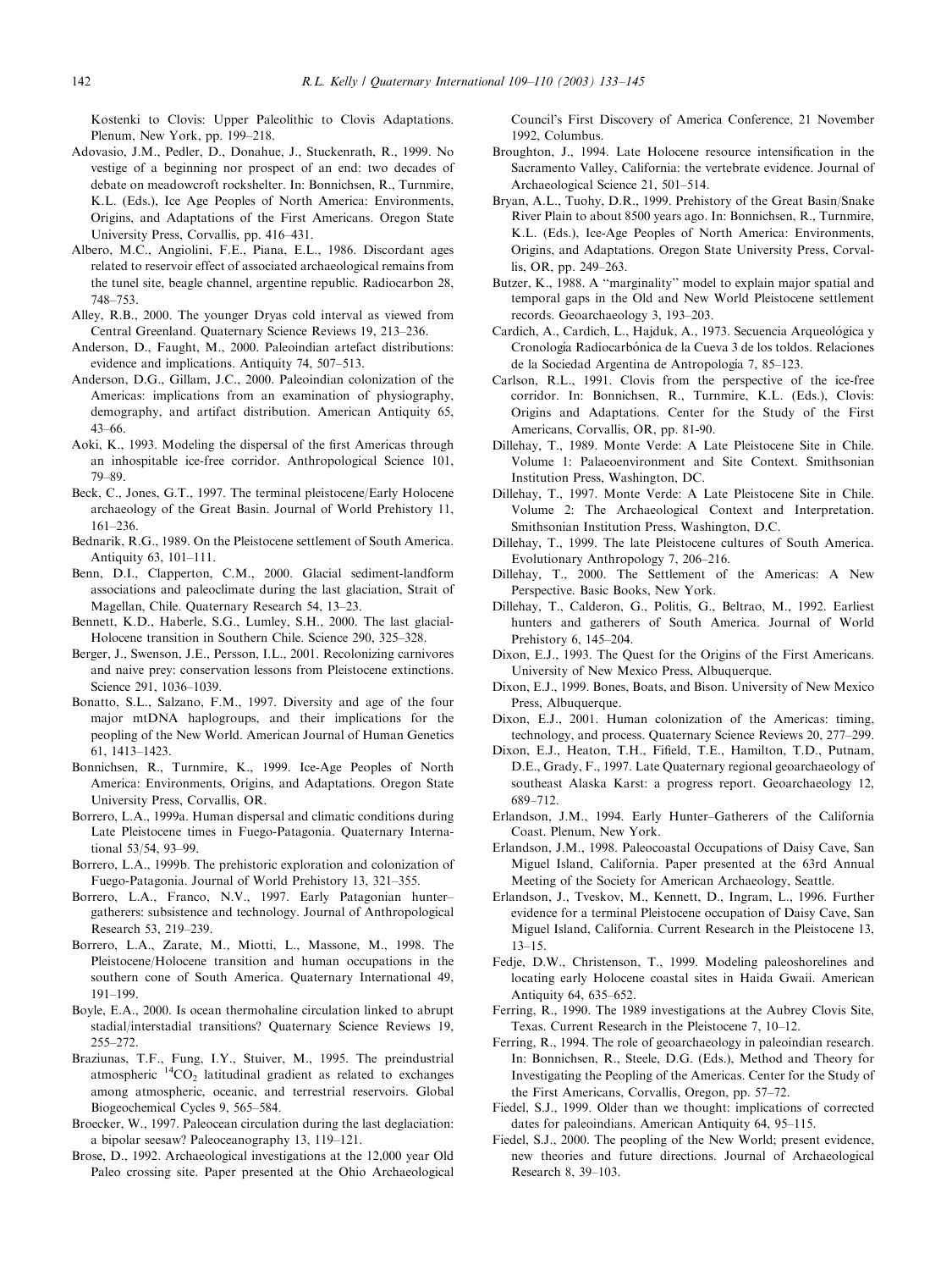<span id="page-9-0"></span>Kostenki to Clovis: Upper Paleolithic to Clovis Adaptations. Plenum, New York, pp. 199–218.

- Adovasio, J.M., Pedler, D., Donahue, J., Stuckenrath, R., 1999. No vestige of a beginning nor prospect of an end: two decades of debate on meadowcroft rockshelter. In: Bonnichsen, R., Turnmire, K.L. (Eds.), Ice Age Peoples of North America: Environments, Origins, and Adaptations of the First Americans. Oregon State University Press, Corvallis, pp. 416–431.
- Albero, M.C., Angiolini, F.E., Piana, E.L., 1986. Discordant ages related to reservoir effect of associated archaeological remains from the tunel site, beagle channel, argentine republic. Radiocarbon 28, 748–753.
- Alley, R.B., 2000. The younger Dryas cold interval as viewed from Central Greenland. Quaternary Science Reviews 19, 213–236.
- Anderson, D., Faught, M., 2000. Paleoindian artefact distributions: evidence and implications. Antiquity 74, 507–513.
- Anderson, D.G., Gillam, J.C., 2000. Paleoindian colonization of the Americas: implications from an examination of physiography, demography, and artifact distribution. American Antiquity 65, 43–66.
- Aoki, K., 1993. Modeling the dispersal of the first Americas through an inhospitable ice-free corridor. Anthropological Science 101, 79–89.
- Beck, C., Jones, G.T., 1997. The terminal pleistocene/Early Holocene archaeology of the Great Basin. Journal of World Prehistory 11, 161–236.
- Bednarik, R.G., 1989. On the Pleistocene settlement of South America. Antiquity 63, 101–111.
- Benn, D.I., Clapperton, C.M., 2000. Glacial sediment-landform associations and paleoclimate during the last glaciation, Strait of Magellan, Chile. Quaternary Research 54, 13–23.
- Bennett, K.D., Haberle, S.G., Lumley, S.H., 2000. The last glacial-Holocene transition in Southern Chile. Science 290, 325–328.
- Berger, J., Swenson, J.E., Persson, I.L., 2001. Recolonizing carnivores and naive prey: conservation lessons from Pleistocene extinctions. Science 291, 1036–1039.
- Bonatto, S.L., Salzano, F.M., 1997. Diversity and age of the four major mtDNA haplogroups, and their implications for the peopling of the New World. American Journal of Human Genetics 61, 1413–1423.
- Bonnichsen, R., Turnmire, K., 1999. Ice-Age Peoples of North America: Environments, Origins, and Adaptations. Oregon State University Press, Corvallis, OR.
- Borrero, L.A., 1999a. Human dispersal and climatic conditions during Late Pleistocene times in Fuego-Patagonia. Quaternary International 53/54, 93–99.
- Borrero, L.A., 1999b. The prehistoric exploration and colonization of Fuego-Patagonia. Journal of World Prehistory 13, 321–355.
- Borrero, L.A., Franco, N.V., 1997. Early Patagonian hunter– gatherers: subsistence and technology. Journal of Anthropological Research 53, 219–239.
- Borrero, L.A., Zarate, M., Miotti, L., Massone, M., 1998. The Pleistocene/Holocene transition and human occupations in the southern cone of South America. Quaternary International 49, 191–199.
- Boyle, E.A., 2000. Is ocean thermohaline circulation linked to abrupt stadial/interstadial transitions? Quaternary Science Reviews 19, 255–272.
- Braziunas, T.F., Fung, I.Y., Stuiver, M., 1995. The preindustrial atmospheric  $^{14}CO<sub>2</sub>$  latitudinal gradient as related to exchanges among atmospheric, oceanic, and terrestrial reservoirs. Global Biogeochemical Cycles 9, 565–584.
- Broecker, W., 1997. Paleocean circulation during the last deglaciation: a bipolar seesaw? Paleoceanography 13, 119–121.
- Brose, D., 1992. Archaeological investigations at the 12,000 year Old Paleo crossing site. Paper presented at the Ohio Archaeological

Council's First Discovery of America Conference, 21 November 1992, Columbus.

- Broughton, J., 1994. Late Holocene resource intensification in the Sacramento Valley, California: the vertebrate evidence. Journal of Archaeological Science 21, 501–514.
- Bryan, A.L., Tuohy, D.R., 1999. Prehistory of the Great Basin/Snake River Plain to about 8500 years ago. In: Bonnichsen, R., Turnmire, K.L. (Eds.), Ice-Age Peoples of North America: Environments, Origins, and Adaptations. Oregon State University Press, Corvallis, OR, pp. 249–263.
- Butzer, K., 1988. A ''marginality'' model to explain major spatial and temporal gaps in the Old and New World Pleistocene settlement records. Geoarchaeology 3, 193–203.
- Cardich, A., Cardich, L., Hajduk, A., 1973. Secuencia Arqueológica y Cronología Radiocarbónica de la Cueva 3 de los toldos. Relaciones de la Sociedad Argentina de Antropología 7, 85-123.
- Carlson, R.L., 1991. Clovis from the perspective of the ice-free corridor. In: Bonnichsen, R., Turnmire, K.L. (Eds.), Clovis: Origins and Adaptations. Center for the Study of the First Americans, Corvallis, OR, pp. 81-90.
- Dillehay, T., 1989. Monte Verde: A Late Pleistocene Site in Chile. Volume 1: Palaeoenvironment and Site Context. Smithsonian Institution Press, Washington, DC.
- Dillehay, T., 1997. Monte Verde: A Late Pleistocene Site in Chile. Volume 2: The Archaeological Context and Interpretation. Smithsonian Institution Press, Washington, D.C.
- Dillehay, T., 1999. The late Pleistocene cultures of South America. Evolutionary Anthropology 7, 206–216.
- Dillehay, T., 2000. The Settlement of the Americas: A New Perspective. Basic Books, New York.
- Dillehay, T., Calderon, G., Politis, G., Beltrao, M., 1992. Earliest hunters and gatherers of South America. Journal of World Prehistory 6, 145–204.
- Dixon, E.J., 1993. The Quest for the Origins of the First Americans. University of New Mexico Press, Albuquerque.
- Dixon, E.J., 1999. Bones, Boats, and Bison. University of New Mexico Press, Albuquerque.
- Dixon, E.J., 2001. Human colonization of the Americas: timing, technology, and process. Quaternary Science Reviews 20, 277–299.
- Dixon, E.J., Heaton, T.H., Fifield, T.E., Hamilton, T.D., Putnam, D.E., Grady, F., 1997. Late Quaternary regional geoarchaeology of southeast Alaska Karst: a progress report. Geoarchaeology 12, 689–712.
- Erlandson, J.M., 1994. Early Hunter–Gatherers of the California Coast. Plenum, New York.
- Erlandson, J.M., 1998. Paleocoastal Occupations of Daisy Cave, San Miguel Island, California. Paper presented at the 63rd Annual Meeting of the Society for American Archaeology, Seattle.
- Erlandson, J., Tveskov, M., Kennett, D., Ingram, L., 1996. Further evidence for a terminal Pleistocene occupation of Daisy Cave, San Miguel Island, California. Current Research in the Pleistocene 13, 13–15.
- Fedje, D.W., Christenson, T., 1999. Modeling paleoshorelines and locating early Holocene coastal sites in Haida Gwaii. American Antiquity 64, 635–652.
- Ferring, R., 1990. The 1989 investigations at the Aubrey Clovis Site, Texas. Current Research in the Pleistocene 7, 10–12.
- Ferring, R., 1994. The role of geoarchaeology in paleoindian research. In: Bonnichsen, R., Steele, D.G. (Eds.), Method and Theory for Investigating the Peopling of the Americas. Center for the Study of the First Americans, Corvallis, Oregon, pp. 57–72.
- Fiedel, S.J., 1999. Older than we thought: implications of corrected dates for paleoindians. American Antiquity 64, 95–115.
- Fiedel, S.J., 2000. The peopling of the New World; present evidence, new theories and future directions. Journal of Archaeological Research 8, 39–103.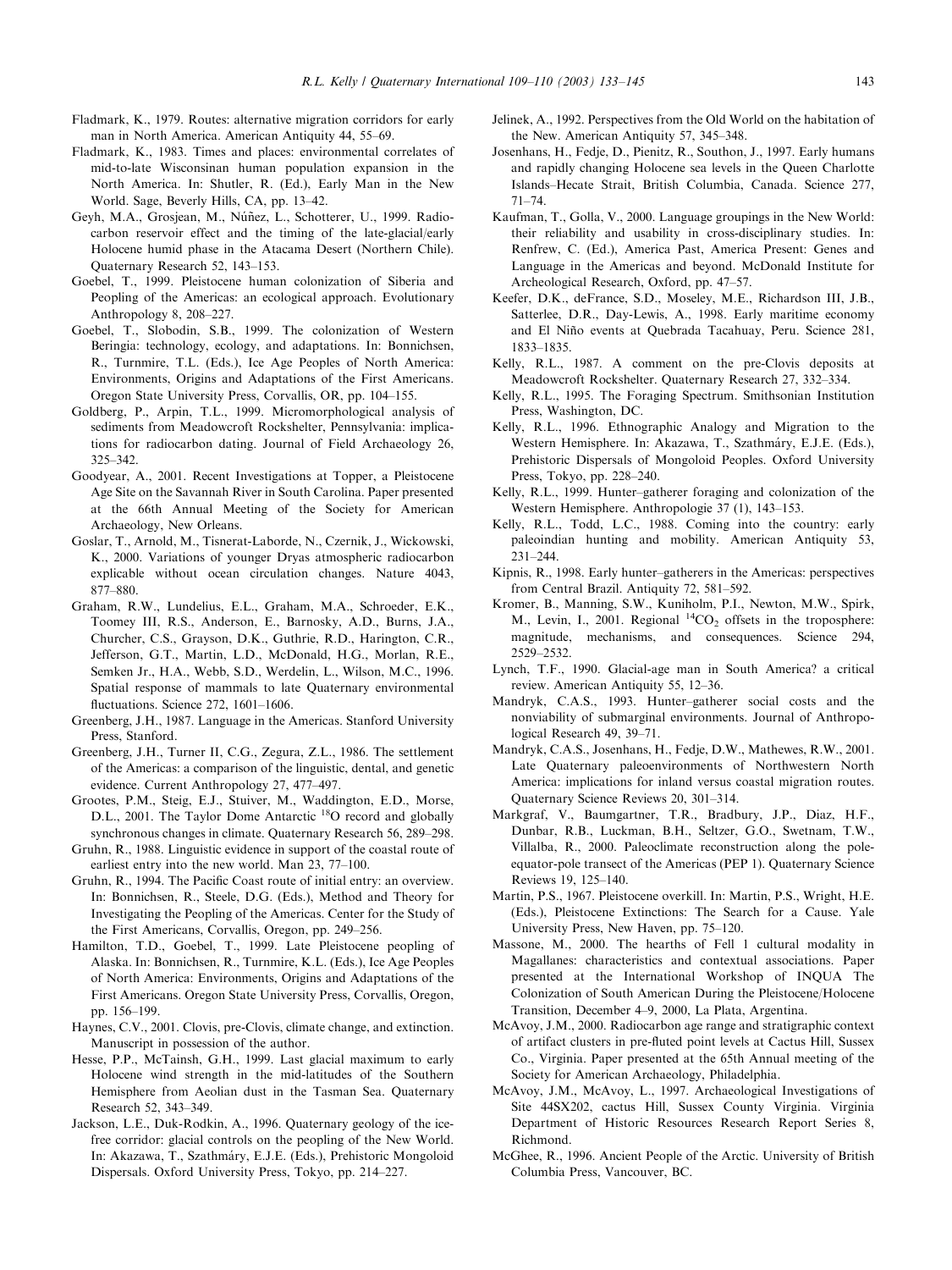- <span id="page-10-0"></span>Fladmark, K., 1979. Routes: alternative migration corridors for early man in North America. American Antiquity 44, 55–69.
- Fladmark, K., 1983. Times and places: environmental correlates of mid-to-late Wisconsinan human population expansion in the North America. In: Shutler, R. (Ed.), Early Man in the New World. Sage, Beverly Hills, CA, pp. 13–42.
- Geyh, M.A., Grosjean, M., Núñez, L., Schotterer, U., 1999. Radiocarbon reservoir effect and the timing of the late-glacial/early Holocene humid phase in the Atacama Desert (Northern Chile). Quaternary Research 52, 143–153.
- Goebel, T., 1999. Pleistocene human colonization of Siberia and Peopling of the Americas: an ecological approach. Evolutionary Anthropology 8, 208–227.
- Goebel, T., Slobodin, S.B., 1999. The colonization of Western Beringia: technology, ecology, and adaptations. In: Bonnichsen, R., Turnmire, T.L. (Eds.), Ice Age Peoples of North America: Environments, Origins and Adaptations of the First Americans. Oregon State University Press, Corvallis, OR, pp. 104–155.
- Goldberg, P., Arpin, T.L., 1999. Micromorphological analysis of sediments from Meadowcroft Rockshelter, Pennsylvania: implications for radiocarbon dating. Journal of Field Archaeology 26, 325–342.
- Goodyear, A., 2001. Recent Investigations at Topper, a Pleistocene Age Site on the Savannah River in South Carolina. Paper presented at the 66th Annual Meeting of the Society for American Archaeology, New Orleans.
- Goslar, T., Arnold, M., Tisnerat-Laborde, N., Czernik, J., Wickowski, K., 2000. Variations of younger Dryas atmospheric radiocarbon explicable without ocean circulation changes. Nature 4043, 877–880.
- Graham, R.W., Lundelius, E.L., Graham, M.A., Schroeder, E.K., Toomey III, R.S., Anderson, E., Barnosky, A.D., Burns, J.A., Churcher, C.S., Grayson, D.K., Guthrie, R.D., Harington, C.R., Jefferson, G.T., Martin, L.D., McDonald, H.G., Morlan, R.E., Semken Jr., H.A., Webb, S.D., Werdelin, L., Wilson, M.C., 1996. Spatial response of mammals to late Quaternary environmental fluctuations. Science 272, 1601–1606.
- Greenberg, J.H., 1987. Language in the Americas. Stanford University Press, Stanford.
- Greenberg, J.H., Turner II, C.G., Zegura, Z.L., 1986. The settlement of the Americas: a comparison of the linguistic, dental, and genetic evidence. Current Anthropology 27, 477–497.
- Grootes, P.M., Steig, E.J., Stuiver, M., Waddington, E.D., Morse, D.L., 2001. The Taylor Dome Antarctic <sup>18</sup>O record and globally synchronous changes in climate. Quaternary Research 56, 289–298.
- Gruhn, R., 1988. Linguistic evidence in support of the coastal route of earliest entry into the new world. Man 23, 77–100.
- Gruhn, R., 1994. The Pacific Coast route of initial entry: an overview. In: Bonnichsen, R., Steele, D.G. (Eds.), Method and Theory for Investigating the Peopling of the Americas. Center for the Study of the First Americans, Corvallis, Oregon, pp. 249–256.
- Hamilton, T.D., Goebel, T., 1999. Late Pleistocene peopling of Alaska. In: Bonnichsen, R., Turnmire, K.L. (Eds.), Ice Age Peoples of North America: Environments, Origins and Adaptations of the First Americans. Oregon State University Press, Corvallis, Oregon, pp. 156–199.
- Haynes, C.V., 2001. Clovis, pre-Clovis, climate change, and extinction. Manuscript in possession of the author.
- Hesse, P.P., McTainsh, G.H., 1999. Last glacial maximum to early Holocene wind strength in the mid-latitudes of the Southern Hemisphere from Aeolian dust in the Tasman Sea. Quaternary Research 52, 343–349.
- Jackson, L.E., Duk-Rodkin, A., 1996. Quaternary geology of the icefree corridor: glacial controls on the peopling of the New World. In: Akazawa, T., Szathmáry, E.J.E. (Eds.), Prehistoric Mongoloid Dispersals. Oxford University Press, Tokyo, pp. 214–227.
- Jelinek, A., 1992. Perspectives from the Old World on the habitation of the New. American Antiquity 57, 345–348.
- Josenhans, H., Fedje, D., Pienitz, R., Southon, J., 1997. Early humans and rapidly changing Holocene sea levels in the Queen Charlotte Islands–Hecate Strait, British Columbia, Canada. Science 277, 71–74.
- Kaufman, T., Golla, V., 2000. Language groupings in the New World: their reliability and usability in cross-disciplinary studies. In: Renfrew, C. (Ed.), America Past, America Present: Genes and Language in the Americas and beyond. McDonald Institute for Archeological Research, Oxford, pp. 47–57.
- Keefer, D.K., deFrance, S.D., Moseley, M.E., Richardson III, J.B., Satterlee, D.R., Day-Lewis, A., 1998. Early maritime economy and El Nino events at Quebrada Tacahuay, Peru. Science 281, \* 1833–1835.
- Kelly, R.L., 1987. A comment on the pre-Clovis deposits at Meadowcroft Rockshelter. Quaternary Research 27, 332–334.
- Kelly, R.L., 1995. The Foraging Spectrum. Smithsonian Institution Press, Washington, DC.
- Kelly, R.L., 1996. Ethnographic Analogy and Migration to the Western Hemisphere. In: Akazawa, T., Szathmáry, E.J.E. (Eds.), Prehistoric Dispersals of Mongoloid Peoples. Oxford University Press, Tokyo, pp. 228–240.
- Kelly, R.L., 1999. Hunter–gatherer foraging and colonization of the Western Hemisphere. Anthropologie 37 (1), 143–153.
- Kelly, R.L., Todd, L.C., 1988. Coming into the country: early paleoindian hunting and mobility. American Antiquity 53, 231–244.
- Kipnis, R., 1998. Early hunter–gatherers in the Americas: perspectives from Central Brazil. Antiquity 72, 581–592.
- Kromer, B., Manning, S.W., Kuniholm, P.I., Newton, M.W., Spirk, M., Levin, I., 2001. Regional  ${}^{14}CO_2$  offsets in the troposphere: magnitude, mechanisms, and consequences. Science 294, 2529–2532.
- Lynch, T.F., 1990. Glacial-age man in South America? a critical review. American Antiquity 55, 12–36.
- Mandryk, C.A.S., 1993. Hunter–gatherer social costs and the nonviability of submarginal environments. Journal of Anthropological Research 49, 39–71.
- Mandryk, C.A.S., Josenhans, H., Fedje, D.W., Mathewes, R.W., 2001. Late Quaternary paleoenvironments of Northwestern North America: implications for inland versus coastal migration routes. Quaternary Science Reviews 20, 301–314.
- Markgraf, V., Baumgartner, T.R., Bradbury, J.P., Diaz, H.F., Dunbar, R.B., Luckman, B.H., Seltzer, G.O., Swetnam, T.W., Villalba, R., 2000. Paleoclimate reconstruction along the poleequator-pole transect of the Americas (PEP 1). Quaternary Science Reviews 19, 125–140.
- Martin, P.S., 1967. Pleistocene overkill. In: Martin, P.S., Wright, H.E. (Eds.), Pleistocene Extinctions: The Search for a Cause. Yale University Press, New Haven, pp. 75–120.
- Massone, M., 2000. The hearths of Fell 1 cultural modality in Magallanes: characteristics and contextual associations. Paper presented at the International Workshop of INQUA The Colonization of South American During the Pleistocene/Holocene Transition, December 4–9, 2000, La Plata, Argentina.
- McAvoy, J.M., 2000. Radiocarbon age range and stratigraphic context of artifact clusters in pre-fluted point levels at Cactus Hill, Sussex Co., Virginia. Paper presented at the 65th Annual meeting of the Society for American Archaeology, Philadelphia.
- McAvoy, J.M., McAvoy, L., 1997. Archaeological Investigations of Site 44SX202, cactus Hill, Sussex County Virginia. Virginia Department of Historic Resources Research Report Series 8, Richmond.
- McGhee, R., 1996. Ancient People of the Arctic. University of British Columbia Press, Vancouver, BC.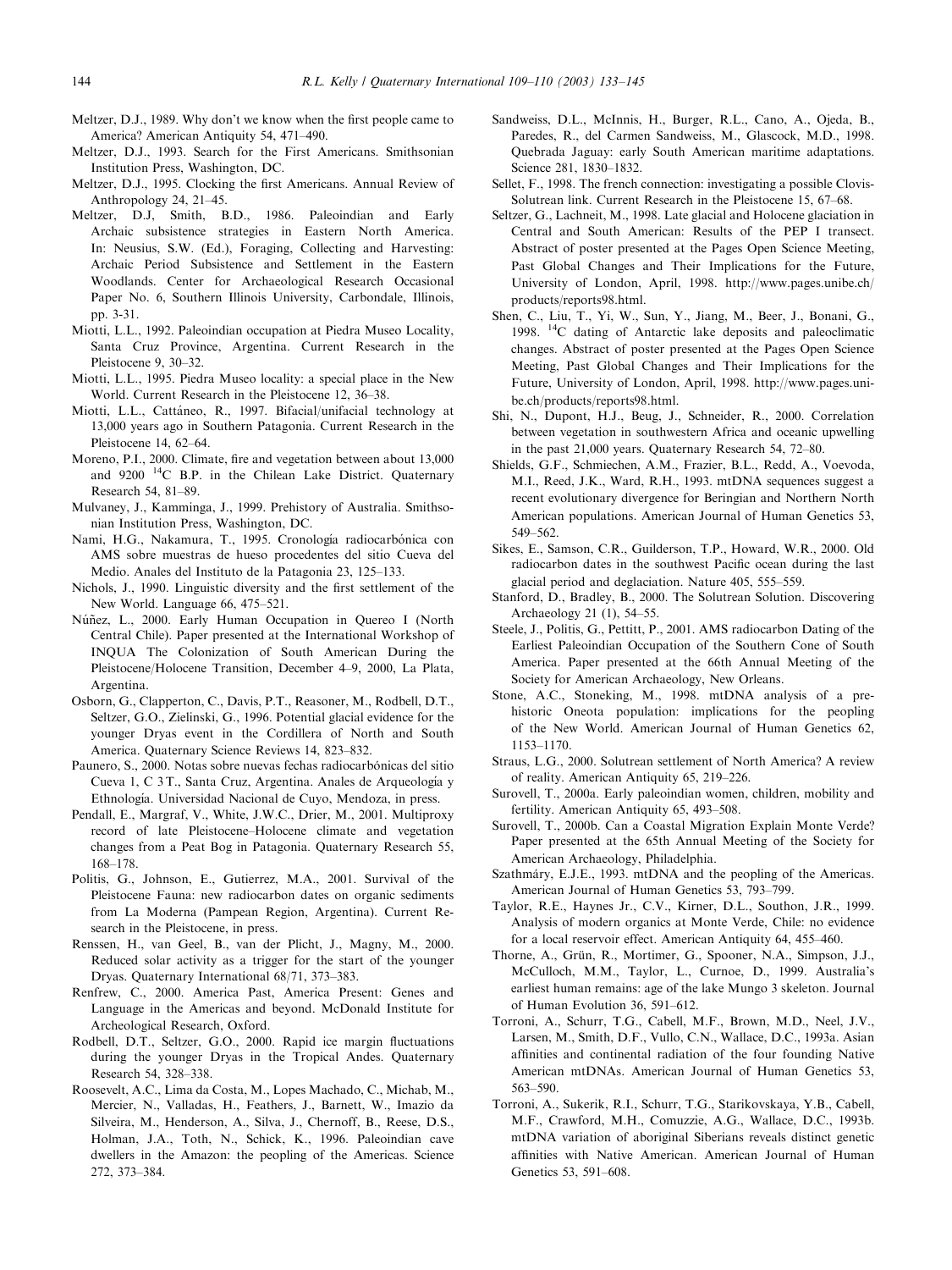- <span id="page-11-0"></span>Meltzer, D.J., 1989. Why don't we know when the first people came to America? American Antiquity 54, 471–490.
- Meltzer, D.J., 1993. Search for the First Americans. Smithsonian Institution Press, Washington, DC.
- Meltzer, D.J., 1995. Clocking the first Americans. Annual Review of Anthropology 24, 21–45.
- Meltzer, D.J, Smith, B.D., 1986. Paleoindian and Early Archaic subsistence strategies in Eastern North America. In: Neusius, S.W. (Ed.), Foraging, Collecting and Harvesting: Archaic Period Subsistence and Settlement in the Eastern Woodlands. Center for Archaeological Research Occasional Paper No. 6, Southern Illinois University, Carbondale, Illinois, pp. 3-31.
- Miotti, L.L., 1992. Paleoindian occupation at Piedra Museo Locality, Santa Cruz Province, Argentina. Current Research in the Pleistocene 9, 30–32.
- Miotti, L.L., 1995. Piedra Museo locality: a special place in the New World. Current Research in the Pleistocene 12, 36–38.
- Miotti, L.L., Cattáneo, R., 1997. Bifacial/unifacial technology at 13,000 years ago in Southern Patagonia. Current Research in the Pleistocene 14, 62–64.
- Moreno, P.I., 2000. Climate, fire and vegetation between about 13,000 and 9200 14C B.P. in the Chilean Lake District. Quaternary Research 54, 81–89.
- Mulvaney, J., Kamminga, J., 1999. Prehistory of Australia. Smithsonian Institution Press, Washington, DC.
- Nami, H.G., Nakamura, T., 1995. Cronología radiocarbónica con AMS sobre muestras de hueso procedentes del sitio Cueva del Medio. Anales del Instituto de la Patagonia 23, 125–133.
- Nichols, J., 1990. Linguistic diversity and the first settlement of the New World. Language 66, 475–521.
- Núñez, L., 2000. Early Human Occupation in Quereo I (North Central Chile). Paper presented at the International Workshop of INQUA The Colonization of South American During the Pleistocene/Holocene Transition, December 4–9, 2000, La Plata, Argentina.
- Osborn, G., Clapperton, C., Davis, P.T., Reasoner, M., Rodbell, D.T., Seltzer, G.O., Zielinski, G., 1996. Potential glacial evidence for the younger Dryas event in the Cordillera of North and South America. Quaternary Science Reviews 14, 823–832.
- Paunero, S., 2000. Notas sobre nuevas fechas radiocarbónicas del sitio Cueva 1, C 3 T., Santa Cruz, Argentina. Anales de Arqueología y Ethnología. Universidad Nacional de Cuyo, Mendoza, in press.
- Pendall, E., Margraf, V., White, J.W.C., Drier, M., 2001. Multiproxy record of late Pleistocene–Holocene climate and vegetation changes from a Peat Bog in Patagonia. Quaternary Research 55, 168–178.
- Politis, G., Johnson, E., Gutierrez, M.A., 2001. Survival of the Pleistocene Fauna: new radiocarbon dates on organic sediments from La Moderna (Pampean Region, Argentina). Current Research in the Pleistocene, in press.
- Renssen, H., van Geel, B., van der Plicht, J., Magny, M., 2000. Reduced solar activity as a trigger for the start of the younger Dryas. Quaternary International 68/71, 373–383.
- Renfrew, C., 2000. America Past, America Present: Genes and Language in the Americas and beyond. McDonald Institute for Archeological Research, Oxford.
- Rodbell, D.T., Seltzer, G.O., 2000. Rapid ice margin fluctuations during the younger Dryas in the Tropical Andes. Quaternary Research 54, 328–338.
- Roosevelt, A.C., Lima da Costa, M., Lopes Machado, C., Michab, M., Mercier, N., Valladas, H., Feathers, J., Barnett, W., Imazio da Silveira, M., Henderson, A., Silva, J., Chernoff, B., Reese, D.S., Holman, J.A., Toth, N., Schick, K., 1996. Paleoindian cave dwellers in the Amazon: the peopling of the Americas. Science 272, 373–384.
- Sandweiss, D.L., McInnis, H., Burger, R.L., Cano, A., Ojeda, B., Paredes, R., del Carmen Sandweiss, M., Glascock, M.D., 1998. Quebrada Jaguay: early South American maritime adaptations. Science 281, 1830–1832.
- Sellet, F., 1998. The french connection: investigating a possible Clovis-Solutrean link. Current Research in the Pleistocene 15, 67–68.
- Seltzer, G., Lachneit, M., 1998. Late glacial and Holocene glaciation in Central and South American: Results of the PEP I transect. Abstract of poster presented at the Pages Open Science Meeting, Past Global Changes and Their Implications for the Future, University of London, April, 1998. [http://www.pages.unibe.ch/](http://www.pages.unibe.ch/products/reports98.html) [products/reports98.html](http://www.pages.unibe.ch/products/reports98.html).
- Shen, C., Liu, T., Yi, W., Sun, Y., Jiang, M., Beer, J., Bonani, G., 1998. 14C dating of Antarctic lake deposits and paleoclimatic changes. Abstract of poster presented at the Pages Open Science Meeting, Past Global Changes and Their Implications for the Future, University of London, April, 1998. [http://www.pages.uni](http://www.pages.unibe.ch/products/reports98.html)[be.ch/products/reports98.html.](http://www.pages.unibe.ch/products/reports98.html)
- Shi, N., Dupont, H.J., Beug, J., Schneider, R., 2000. Correlation between vegetation in southwestern Africa and oceanic upwelling in the past 21,000 years. Quaternary Research 54, 72–80.
- Shields, G.F., Schmiechen, A.M., Frazier, B.L., Redd, A., Voevoda, M.I., Reed, J.K., Ward, R.H., 1993. mtDNA sequences suggest a recent evolutionary divergence for Beringian and Northern North American populations. American Journal of Human Genetics 53, 549–562.
- Sikes, E., Samson, C.R., Guilderson, T.P., Howard, W.R., 2000. Old radiocarbon dates in the southwest Pacific ocean during the last glacial period and deglaciation. Nature 405, 555–559.
- Stanford, D., Bradley, B., 2000. The Solutrean Solution. Discovering Archaeology 21 (1), 54–55.
- Steele, J., Politis, G., Pettitt, P., 2001. AMS radiocarbon Dating of the Earliest Paleoindian Occupation of the Southern Cone of South America. Paper presented at the 66th Annual Meeting of the Society for American Archaeology, New Orleans.
- Stone, A.C., Stoneking, M., 1998. mtDNA analysis of a prehistoric Oneota population: implications for the peopling of the New World. American Journal of Human Genetics 62, 1153–1170.
- Straus, L.G., 2000. Solutrean settlement of North America? A review of reality. American Antiquity 65, 219–226.
- Surovell, T., 2000a. Early paleoindian women, children, mobility and fertility. American Antiquity 65, 493–508.
- Surovell, T., 2000b. Can a Coastal Migration Explain Monte Verde? Paper presented at the 65th Annual Meeting of the Society for American Archaeology, Philadelphia.
- Szathmáry, E.J.E., 1993. mtDNA and the peopling of the Americas. American Journal of Human Genetics 53, 793–799.
- Taylor, R.E., Haynes Jr., C.V., Kirner, D.L., Southon, J.R., 1999. Analysis of modern organics at Monte Verde, Chile: no evidence for a local reservoir effect. American Antiquity 64, 455–460.
- Thorne, A., Grün, R., Mortimer, G., Spooner, N.A., Simpson, J.J., McCulloch, M.M., Taylor, L., Curnoe, D., 1999. Australia's earliest human remains: age of the lake Mungo 3 skeleton. Journal of Human Evolution 36, 591–612.
- Torroni, A., Schurr, T.G., Cabell, M.F., Brown, M.D., Neel, J.V., Larsen, M., Smith, D.F., Vullo, C.N., Wallace, D.C., 1993a. Asian affinities and continental radiation of the four founding Native American mtDNAs. American Journal of Human Genetics 53, 563–590.
- Torroni, A., Sukerik, R.I., Schurr, T.G., Starikovskaya, Y.B., Cabell, M.F., Crawford, M.H., Comuzzie, A.G., Wallace, D.C., 1993b. mtDNA variation of aboriginal Siberians reveals distinct genetic affinities with Native American. American Journal of Human Genetics 53, 591–608.